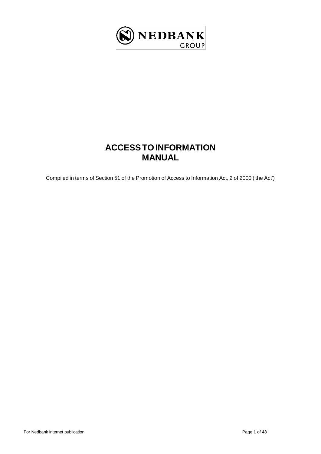

# **ACCESSTOINFORMATION MANUAL**

<span id="page-0-0"></span>Compiled in terms of Section 51 of the Promotion of Access to Information Act, 2 of 2000 ('the Act')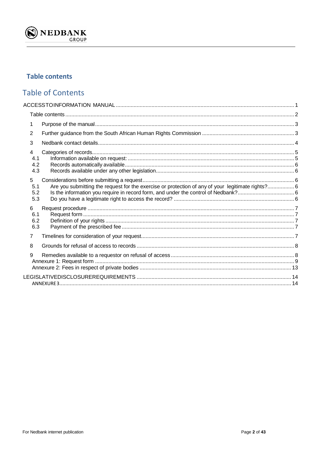

# <span id="page-1-0"></span>**Table contents**

# **Table of Contents**

| 1                                                                                                                           |  |
|-----------------------------------------------------------------------------------------------------------------------------|--|
| 2                                                                                                                           |  |
| 3                                                                                                                           |  |
| 4<br>4.1<br>4.2<br>4.3                                                                                                      |  |
| 5<br>Are you submitting the request for the exercise or protection of any of your legitimate rights? 6<br>5.1<br>5.2<br>5.3 |  |
| 6<br>6.1<br>6.2<br>6.3                                                                                                      |  |
| 7                                                                                                                           |  |
| 8                                                                                                                           |  |
| 9                                                                                                                           |  |
|                                                                                                                             |  |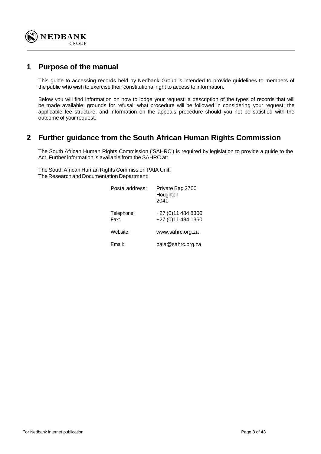

## <span id="page-2-0"></span>**1 Purpose of the manual**

This guide to accessing records held by Nedbank Group is intended to provide guidelines to members of the public who wish to exercise their constitutional right to access to information.

Below you will find information on how to lodge your request; a description of the types of records that will be made available; grounds for refusal; what procedure will be followed in considering your request; the applicable fee structure; and information on the appeals procedure should you not be satisfied with the outcome of your request.

## <span id="page-2-1"></span>**2 Further guidance from the South African Human Rights Commission**

The South African Human Rights Commission ('SAHRC') is required by legislation to provide a guide to the Act. Further information is available from the SAHRC at:

The South African Human Rights Commission PAIA Unit; The Research and Documentation Department;

| Postal address:    | Private Bag 2700<br>Houghton<br>2041      |
|--------------------|-------------------------------------------|
| Telephone:<br>Fax: | +27 (0) 11 484 8300<br>+27 (0)11 484 1360 |
| Website:           | www.sahrc.org.za                          |
| Email:             | paia@sahrc.org.za                         |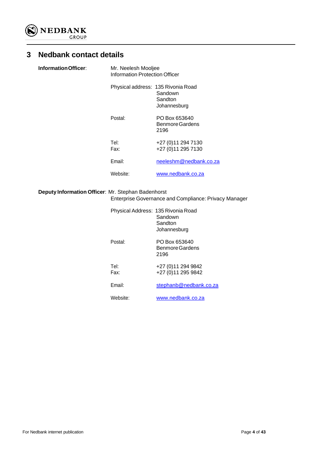

# <span id="page-3-0"></span>**3 Nedbank contact details**

| Information Officer: | Mr. Neelesh Mooljee<br>Information Protection Officer |                                            |  |
|----------------------|-------------------------------------------------------|--------------------------------------------|--|
|                      | Physical address: 135 Rivonia Road                    | Sandown<br>Sandton<br>Johannesburg         |  |
|                      | Postal:                                               | PO Box 653640<br>Benmore Gardens<br>2196   |  |
|                      | Tel:<br>Fax:                                          | +27 (0) 11 294 7130<br>+27 (0) 11 295 7130 |  |
|                      | Email:                                                | neeleshm@nedbank.co.za                     |  |
|                      | Website:                                              | www.nedbank.co.za                          |  |

### **Deputy Information Officer**: Mr. Stephan Badenhorst Enterprise Governance and Compliance: Privacy Manager

| Physical Address: 135 Rivonia Road | Sandown<br>Sandton<br>Johannesburg         |
|------------------------------------|--------------------------------------------|
| Postal:                            | PO Box 653640<br>Benmore Gardens<br>2196   |
| Tel:<br>Fax:                       | +27 (0) 11 294 9842<br>+27 (0) 11 295 9842 |
| Email:                             | stephanb@nedbank.co.za                     |
| Website:                           | www.nedbank.co.za                          |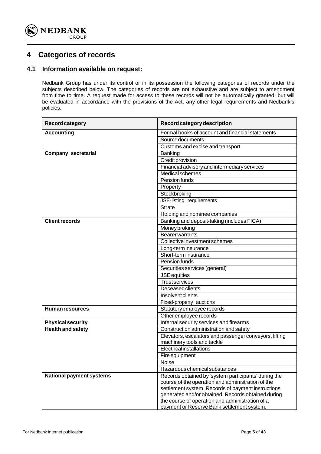

## <span id="page-4-0"></span>**4 Categories of records**

### <span id="page-4-1"></span>**4.1 Information available on request:**

Nedbank Group has under its control or in its possession the following categories of records under the subjects described below. The categories of records are not exhaustive and are subject to amendment from time to time. A request made for access to these records will not be automatically granted, but will be evaluated in accordance with the provisions of the Act, any other legal requirements and Nedbank's policies.

| <b>Record category</b>          | Record category description                                                                           |
|---------------------------------|-------------------------------------------------------------------------------------------------------|
| <b>Accounting</b>               | Formal books of account and financial statements                                                      |
|                                 | <b>Source documents</b>                                                                               |
|                                 | Customs and excise and transport                                                                      |
| <b>Company secretarial</b>      | Banking                                                                                               |
|                                 | Credit provision                                                                                      |
|                                 | Financial advisory and intermediary services                                                          |
|                                 | <b>Medical schemes</b>                                                                                |
|                                 | Pension funds                                                                                         |
|                                 | Property                                                                                              |
|                                 | Stockbroking                                                                                          |
|                                 | JSE-listing requirements                                                                              |
|                                 | <b>Strate</b>                                                                                         |
|                                 | Holding and nominee companies                                                                         |
| <b>Client records</b>           | Banking and deposit-taking (includes FICA)                                                            |
|                                 | <b>Money broking</b>                                                                                  |
|                                 | <b>Bearer warrants</b>                                                                                |
|                                 | Collective investment schemes                                                                         |
|                                 | Long-term insurance                                                                                   |
|                                 | Short-term insurance                                                                                  |
|                                 | Pension funds                                                                                         |
|                                 | Securities services (general)                                                                         |
|                                 | <b>JSE</b> equities                                                                                   |
|                                 | <b>Trust services</b>                                                                                 |
|                                 | <b>Deceased clients</b>                                                                               |
|                                 | <b>Insolvent clients</b>                                                                              |
|                                 | Fixed-property auctions                                                                               |
| Human resources                 | Statutory employee records                                                                            |
|                                 | Other employee records                                                                                |
| <b>Physical security</b>        | Internal security services and firearms                                                               |
| <b>Health and safety</b>        | Construction administration and safety                                                                |
|                                 | Elevators, escalators and passenger conveyors, lifting                                                |
|                                 | machinery tools and tackle                                                                            |
|                                 | Electricalinstallations                                                                               |
|                                 | Fire equipment                                                                                        |
|                                 | Noise                                                                                                 |
|                                 | Hazardous chemical substances                                                                         |
| <b>National payment systems</b> | Records obtained by 'system participants' during the                                                  |
|                                 | course of the operation and administration of the                                                     |
|                                 | settlement system. Records of payment instructions                                                    |
|                                 | generated and/or obtained. Records obtained during<br>the course of operation and administration of a |
|                                 | payment or Reserve Bank settlement system.                                                            |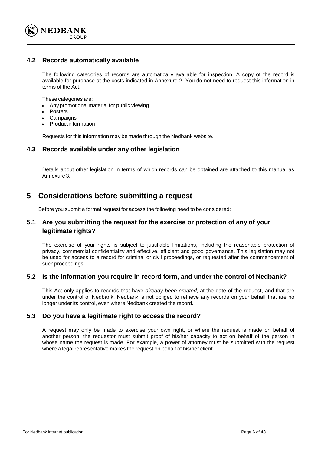

### <span id="page-5-0"></span>**4.2 Records automatically available**

The following categories of records are automatically available for inspection. A copy of the record is available for purchase at the costs indicated in Annexure 2. You do not need to request this information in terms of the Act.

These categories are:

- Any promotional material for public viewing
- Posters
- **Campaigns**
- Productinformation

Requests for this information may be made through the Nedbank website.

### <span id="page-5-1"></span>**4.3 Records available under any other legislation**

Details about other legislation in terms of which records can be obtained are attached to this manual as Annexure 3.

### <span id="page-5-2"></span>**5 Considerations before submitting a request**

Before you submit a formal request for access the following need to be considered:

### <span id="page-5-3"></span>**5.1 Are you submitting the request for the exercise or protection of any of your legitimate rights?**

The exercise of your rights is subject to justifiable limitations, including the reasonable protection of privacy, commercial confidentiality and effective, efficient and good governance. This legislation may not be used for access to a record for criminal or civil proceedings, or requested after the commencement of suchproceedings.

### <span id="page-5-4"></span>**5.2 Is the information you require in record form, and under the control of Nedbank?**

This Act only applies to records that have *already been created*, at the date of the request, and that are under the control of Nedbank. Nedbank is not obliged to retrieve any records on your behalf that are no longer under its control, even where Nedbank created the record.

### <span id="page-5-5"></span>**5.3 Do you have a legitimate right to access the record?**

A request may only be made to exercise your own right, or where the request is made on behalf of another person, the requestor must submit proof of his/her capacity to act on behalf of the person in whose name the request is made. For example, a power of attorney must be submitted with the request where a legal representative makes the request on behalf of his/her client.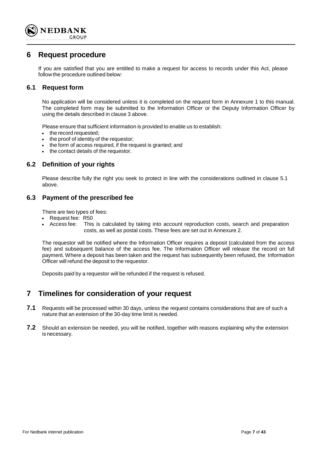

### <span id="page-6-0"></span>**6 Request procedure**

If you are satisfied that you are entitled to make a request for access to records under this Act, please follow the procedure outlined below:

### <span id="page-6-1"></span>**6.1 Request form**

No application will be considered unless it is completed on the request form in Annexure 1 to this manual. The completed form may be submitted to the Information Officer or the Deputy Information Officer by using the details described in clause 3 above.

Please ensure that sufficient information is provided to enable us to establish:

- the record requested;
- the proof of identity of the requestor;
- the form of access required, if the request is granted; and
- the contact details of the requestor.

### <span id="page-6-2"></span>**6.2 Definition of your rights**

Please describe fully the right you seek to protect in line with the considerations outlined in clause 5.1 above.

### <span id="page-6-3"></span>**6.3 Payment of the prescribed fee**

There are two types of fees:

- Request fee: R50
- Access fee: This is calculated by taking into account reproduction costs, search and preparation costs, as well as postal costs. These fees are set out in Annexure 2.

The requestor will be notified where the Information Officer requires a deposit (calculated from the access fee) and subsequent balance of the access fee. The Information Officer will release the record on full payment. Where a deposit has been taken and the request has subsequently been refused, the Information Officer will refund the deposit to the requestor.

Deposits paid by a requestor will be refunded if the request is refused.

### <span id="page-6-4"></span>**7 Timelines for consideration of your request**

- **7.1** Requests will be processed within 30 days, unless the request contains considerations that are of such a nature that an extension of the 30-day time limit is needed.
- **7.2** Should an extension be needed, you will be notified, together with reasons explaining why the extension is necessary.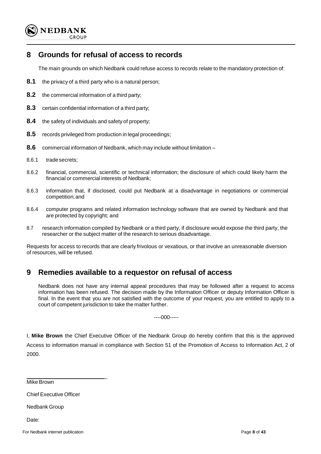

# <span id="page-7-0"></span>**8 Grounds for refusal of access to records**

The main grounds on which Nedbank could refuse access to records relate to the mandatory protection of:

- **8.1** the privacy of a third party who is a natural person;
- **8.2** the commercial information of a third party;
- **8.3** certain confidential information of a third party;
- **8.4** the safety of individuals and safety of property;
- **8.5** records privileged from production in legal proceedings;
- **8.6** commercial information of Nedbank, which may include without limitation –
- 8.6.1 tradesecrets;
- 8.6.2 financial, commercial, scientific or technical information; the disclosure of which could likely harm the financial or commercial interests of Nedbank;
- 8.6.3 information that, if disclosed, could put Nedbank at a disadvantage in negotiations or commercial competition;and
- 8.6.4 computer programs and related information technology software that are owned by Nedbank and that are protected by copyright; and
- 8.7 research information compiled by Nedbank or a third party, if disclosure would expose the third party, the researcher or the subject matter of the research to serious disadvantage.

Requests for access to records that are clearly frivolous or vexatious, or that involve an unreasonable diversion of resources, will be refused.

## <span id="page-7-1"></span>**9 Remedies available to a requestor on refusal of access**

 $\overline{a}$ 

Nedbank does not have any internal appeal procedures that may be followed after a request to access information has been refused. The decision made by the Information Officer or deputy Information Officer is final. In the event that you are not satisfied with the outcome of your request, you are entitled to apply to a court of competent jurisdiction to take the matter further.

----000-----

I, **Mike Brown** the Chief Executive Officer of the Nedbank Group do hereby confirm that this is the approved Access to information manual in compliance with Section 51 of the Promotion of Access to Information Act, 2 of 2000.

**Mike Brown** 

Chief Executive Officer

Nedbank Group

Date: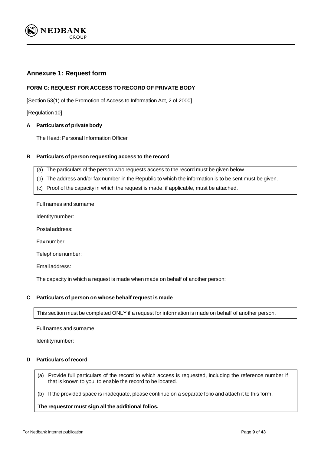

### <span id="page-8-0"></span>**Annexure 1: Request form**

### **FORM C: REQUEST FOR ACCESS TO RECORD OF PRIVATE BODY**

[Section 53(1) of the Promotion of Access to Information Act, 2 of 2000]

[Regulation 10]

#### **A Particulars of private body**

The Head: Personal Information Officer

#### **B Particulars of person requesting access to the record**

- (a) The particulars of the person who requests access to the record must be given below.
- (b) The address and/or fax number in the Republic to which the information is to be sent must be given.
- (c) Proof of the capacity in which the request is made, if applicable, must be attached.

Full names and surname:

Identitynumber:

Postaladdress:

Fax number:

Telephonenumber:

Emailaddress:

The capacity in which a request is made when made on behalf of another person:

#### **C Particulars of person on whose behalf request is made**

This section must be completed ONLY if a request for information is made on behalf of another person.

Full names and surname:

Identitynumber:

#### **D Particulars ofrecord**

(a) Provide full particulars of the record to which access is requested, including the reference number if that is known to you, to enable the record to be located.

(b) If the provided space is inadequate, please continue on a separate folio and attach it to this form.

**The requestor must sign all the additional folios.**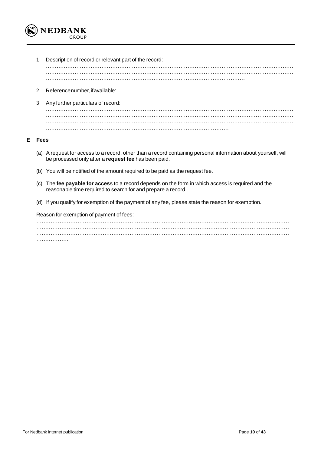

1 Description of record or relevant part of the record: ………………………………………………………………………………………………………………………… ………………………………………………………………………………………………………………………… ………………………………………………………………………………………………… 2 Referencenumber,ifavailable:………………………………………………………………………… 3 Any further particulars of record: ………………………………………………………………………………………………………………………… ………………………………………………………………………………………………………………………… ………………………………………………………………………………………………………………………… …………………………………………………………………………………………

#### **E Fees**

- (a) A request for access to a record, other than a record containing personal information about yourself, will be processed only after a **request fee** has been paid.
- (b) You will be notified of the amount required to be paid as the request fee.
- (c) The **fee payable for acces**s to a record depends on the form in which access is required and the reasonable time required to search for and prepare a record.
- (d) If you qualify for exemption of the payment of any fee, please state the reason for exemption.

Reason for exemption of payment of fees:

| . |  |  |
|---|--|--|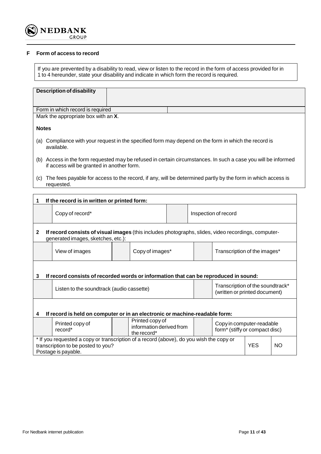

#### **F Form of access to record**

If you are prevented by a disability to read, view or listen to the record in the form of access provided for in 1 to 4 hereunder, state your disability and indicate in which form the record is required.

| <b>Description of disability</b>                                                                                   |                 |  |  |                                                                                                                 |  |
|--------------------------------------------------------------------------------------------------------------------|-----------------|--|--|-----------------------------------------------------------------------------------------------------------------|--|
|                                                                                                                    |                 |  |  |                                                                                                                 |  |
| Form in which record is required                                                                                   |                 |  |  |                                                                                                                 |  |
| Mark the appropriate box with an X.                                                                                |                 |  |  |                                                                                                                 |  |
|                                                                                                                    |                 |  |  |                                                                                                                 |  |
| <b>Notes</b>                                                                                                       |                 |  |  |                                                                                                                 |  |
| (a) Compliance with your request in the specified form may depend on the form in which the record is<br>available. |                 |  |  |                                                                                                                 |  |
| if access will be granted in another form.                                                                         |                 |  |  | (b) Access in the form requested may be refused in certain circumstances. In such a case you will be informed   |  |
| requested.                                                                                                         |                 |  |  | (c) The fees payable for access to the record, if any, will be determined partly by the form in which access is |  |
|                                                                                                                    |                 |  |  |                                                                                                                 |  |
| If the record is in written or printed form:<br>1                                                                  |                 |  |  |                                                                                                                 |  |
| Copy of record*                                                                                                    |                 |  |  | Inspection of record                                                                                            |  |
| $\mathbf{2}$<br>generated images, sketches, etc.):                                                                 |                 |  |  | If record consists of visual images (this includes photographs, slides, video recordings, computer-             |  |
| View of images                                                                                                     | Copy of images* |  |  | Transcription of the images*                                                                                    |  |
| If record consists of recorded words or information that can be reproduced in sound:<br>3                          |                 |  |  |                                                                                                                 |  |
| Transcription of the soundtrack*<br>Listen to the soundtrack (audio cassette)<br>(written or printed document)     |                 |  |  |                                                                                                                 |  |
| If record is held on computer or in an electronic or machine-readable form:                                        |                 |  |  |                                                                                                                 |  |

|                                                                                                                               | Printed copy of<br>record* |  | Printed copy of<br>information derived from<br>the record* |  | Copy in computer-readable<br>form <sup>*</sup> (stiffy or compact disc) |           |  |
|-------------------------------------------------------------------------------------------------------------------------------|----------------------------|--|------------------------------------------------------------|--|-------------------------------------------------------------------------|-----------|--|
| * If you requested a copy or transcription of a record (above), do you wish the copy or<br>transcription to be posted to you? |                            |  |                                                            |  | <b>YES</b>                                                              | <b>NO</b> |  |
|                                                                                                                               | Postage is payable.        |  |                                                            |  |                                                                         |           |  |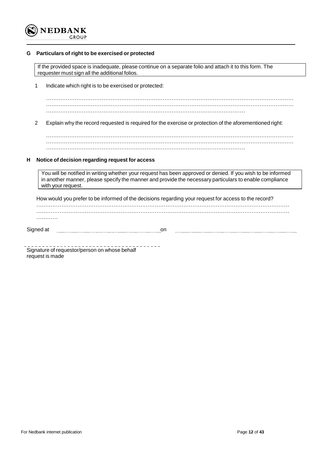

#### **G Particulars of right to be exercised or protected**

If the provided space is inadequate, please continue on a separate folio and attach it to this form. The requester must sign all the additional folios.

1 Indicate which right is to be exercised or protected:

………………………………………………………………………………………………………………………… ………………………………………………………………………………………………………………………… …………………………………………………………………………………………………

2 Explain why the record requested is required for the exercise or protection of the aforementioned right:

………………………………………………………………………………………………………………………… ………………………………………………………………………………………………………………………… …………………………………………………………………………………………………

#### **H Notice of decision regarding request for access**

You will be notified in writing whether your request has been approved or denied. If you wish to be informed in another manner, please specify the manner and provide the necessary particulars to enable compliance with your request.

How would you prefer to be informed of the decisions regarding your request for access to the record? …………………………………………………………………………………………………………………………… …………………………………………………………………………………………………………………………… ………… Signed at <u>manual controller contained</u> and contained at a set of the set of the set of the set of the set of the 

Signature of requestor/person on whose behalf request is made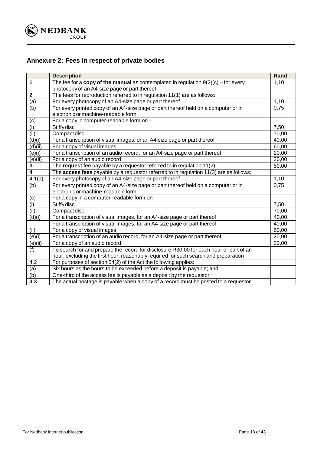

# <span id="page-12-0"></span>**Annexure 2: Fees in respect of private bodies**

|                  | <b>Description</b>                                                                     | Rand  |
|------------------|----------------------------------------------------------------------------------------|-------|
| 1                | The fee for a copy of the manual as contemplated in regulation $9(2)(c)$ – for every   | 1,10  |
|                  | photocopy of an A4-size page or part thereof                                           |       |
| $\boldsymbol{2}$ | The fees for reproduction referred to in regulation 11(1) are as follows:              |       |
| (a)              | For every photocopy of an A4-size page or part thereof                                 | 1,10  |
| (b)              | For every printed copy of an A4-size page or part thereof held on a computer or in     | 0,75  |
|                  | electronic or machine-readable form                                                    |       |
| (c)              | For a copy in computer-readable form on -                                              |       |
| (i)              | Stiffy disc                                                                            | 7,50  |
| (iii)            | Compact disc                                                                           | 70,00 |
| (d)(i)           | For a transcription of visual images, or an A4-size page or part thereof               | 40,00 |
| (d)(ii)          | For a copy of visual images                                                            | 60,00 |
| (e)(i)           | For a transcription of an audio record, for an A4-size page or part thereof            | 20,00 |
| (e)(ii)          | For a copy of an audio record                                                          | 30,00 |
| 3                | The request fee payable by a requestor referred to in regulation 11(2)                 | 50,00 |
| 4                | The access fees payable by a requestor referred to in regulation 11(3) are as follows: |       |
| 4.1(a)           | For every photocopy of an A4-size page or part thereof                                 | 1,10  |
| (b)              | For every printed copy of an A4-size page or part thereof held on a computer or in     | 0,75  |
|                  | electronic or machine-readable form                                                    |       |
| (c)              | For a copy in a computer-readable form on -                                            |       |
| (i)              | Stiffy disc                                                                            | 7,50  |
| (iii)            | Compact disc                                                                           | 70,00 |
| (d)(i)           | For a transcription of visual images, for an A4-size page or part thereof              | 40,00 |
|                  | For a transcription of visual images, for an A4-size page or part thereof              | 40,00 |
| (ii)             | For a copy of visual images                                                            | 60,00 |
| (e)(i)           | For a transcription of an audio record, for an A4-size page or part thereof            | 20,00 |
| (e)(ii)          | For a copy of an audio record                                                          | 30,00 |
| (f)              | To search for and prepare the record for disclosure R30,00 for each hour or part of an |       |
|                  | hour, excluding the first hour, reasonably required for such search and preparation    |       |
| 4.2              | For purposes of section 54(2) of the Act the following applies:                        |       |
| $\overline{a}$   | Six hours as the hours to be exceeded before a deposit is payable; and                 |       |
| (b)              | One-third of the access fee is payable as a deposit by the requestor.                  |       |
| $4.\overline{3}$ | The actual postage is payable when a copy of a record must be posted to a requestor    |       |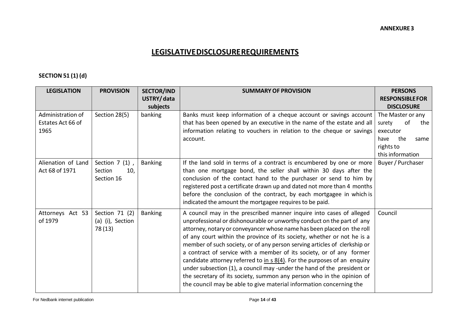# <span id="page-13-1"></span>**LEGISLATIVEDISCLOSUREREQUIREMENTS**

## **SECTION 51 (1) (d)**

<span id="page-13-0"></span>

| <b>LEGISLATION</b>                             | <b>PROVISION</b>                                 | <b>SECTOR/IND</b><br>USTRY/data | <b>SUMMARY OF PROVISION</b>                                                                                                                                                                                                                                                                                                                                                                                                                                                                                                                                                                                                                                                                                                                                                 | <b>PERSONS</b><br><b>RESPONSIBLE FOR</b>                                                         |
|------------------------------------------------|--------------------------------------------------|---------------------------------|-----------------------------------------------------------------------------------------------------------------------------------------------------------------------------------------------------------------------------------------------------------------------------------------------------------------------------------------------------------------------------------------------------------------------------------------------------------------------------------------------------------------------------------------------------------------------------------------------------------------------------------------------------------------------------------------------------------------------------------------------------------------------------|--------------------------------------------------------------------------------------------------|
| Administration of<br>Estates Act 66 of<br>1965 | Section 28(5)                                    | subjects<br>banking             | Banks must keep information of a cheque account or savings account<br>that has been opened by an executive in the name of the estate and all<br>information relating to vouchers in relation to the cheque or savings<br>account.                                                                                                                                                                                                                                                                                                                                                                                                                                                                                                                                           | <b>DISCLOSURE</b><br>The Master or any<br>surety<br>of<br>the<br>executor<br>the<br>have<br>same |
|                                                |                                                  |                                 |                                                                                                                                                                                                                                                                                                                                                                                                                                                                                                                                                                                                                                                                                                                                                                             | rights to<br>this information                                                                    |
| Alienation of Land<br>Act 68 of 1971           | Section $7(1)$ ,<br>Section<br>10,<br>Section 16 | <b>Banking</b>                  | If the land sold in terms of a contract is encumbered by one or more<br>than one mortgage bond, the seller shall within 30 days after the<br>conclusion of the contact hand to the purchaser or send to him by<br>registered post a certificate drawn up and dated not more than 4 months<br>before the conclusion of the contract, by each mortgagee in which is<br>indicated the amount the mortgagee requires to be paid.                                                                                                                                                                                                                                                                                                                                                | Buyer / Purchaser                                                                                |
| Attorneys Act 53<br>of 1979                    | Section 71 (2)<br>(a) (i), Section<br>78 (13)    | <b>Banking</b>                  | A council may in the prescribed manner inquire into cases of alleged<br>unprofessional or dishonourable or unworthy conduct on the part of any<br>attorney, notary or conveyancer whose name has been placed on the roll<br>of any court within the province of its society, whether or not he is a<br>member of such society, or of any person serving articles of clerkship or<br>a contract of service with a member of its society, or of any former<br>candidate attorney referred to $\frac{\ln s}{8(4)}$ . For the purposes of an enquiry<br>under subsection (1), a council may -under the hand of the president or<br>the secretary of its society, summon any person who in the opinion of<br>the council may be able to give material information concerning the | Council                                                                                          |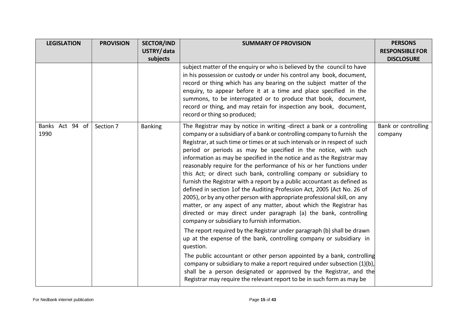| <b>LEGISLATION</b>      | <b>PROVISION</b> | <b>SECTOR/IND</b> | <b>SUMMARY OF PROVISION</b>                                                                                                                                                                                                                                                                                                                                                                                                                                                                                                                                                                                                                                                                                                                                                                                                                                                                                                                                                                                                                                                                                                                                                                                                                                                                                                                                                                                                     | <b>PERSONS</b>                 |
|-------------------------|------------------|-------------------|---------------------------------------------------------------------------------------------------------------------------------------------------------------------------------------------------------------------------------------------------------------------------------------------------------------------------------------------------------------------------------------------------------------------------------------------------------------------------------------------------------------------------------------------------------------------------------------------------------------------------------------------------------------------------------------------------------------------------------------------------------------------------------------------------------------------------------------------------------------------------------------------------------------------------------------------------------------------------------------------------------------------------------------------------------------------------------------------------------------------------------------------------------------------------------------------------------------------------------------------------------------------------------------------------------------------------------------------------------------------------------------------------------------------------------|--------------------------------|
|                         |                  | USTRY/data        |                                                                                                                                                                                                                                                                                                                                                                                                                                                                                                                                                                                                                                                                                                                                                                                                                                                                                                                                                                                                                                                                                                                                                                                                                                                                                                                                                                                                                                 | <b>RESPONSIBLE FOR</b>         |
|                         |                  | subjects          |                                                                                                                                                                                                                                                                                                                                                                                                                                                                                                                                                                                                                                                                                                                                                                                                                                                                                                                                                                                                                                                                                                                                                                                                                                                                                                                                                                                                                                 | <b>DISCLOSURE</b>              |
|                         |                  |                   | subject matter of the enquiry or who is believed by the council to have<br>in his possession or custody or under his control any book, document,<br>record or thing which has any bearing on the subject matter of the<br>enquiry, to appear before it at a time and place specified in the<br>summons, to be interrogated or to produce that book, document,<br>record or thing, and may retain for inspection any book, document,<br>record or thing so produced;                                                                                                                                                                                                                                                                                                                                                                                                                                                                                                                                                                                                                                                                                                                                                                                                                                                                                                                                                             |                                |
| Banks Act 94 of<br>1990 | Section 7        | <b>Banking</b>    | The Registrar may by notice in writing -direct a bank or a controlling<br>company or a subsidiary of a bank or controlling company to furnish the<br>Registrar, at such time or times or at such intervals or in respect of such<br>period or periods as may be specified in the notice, with such<br>information as may be specified in the notice and as the Registrar may<br>reasonably require for the performance of his or her functions under<br>this Act; or direct such bank, controlling company or subsidiary to<br>furnish the Registrar with a report by a public accountant as defined as<br>defined in section 1of the Auditing Profession Act, 2005 (Act No. 26 of<br>2005), or by any other person with appropriate professional skill, on any<br>matter, or any aspect of any matter, about which the Registrar has<br>directed or may direct under paragraph (a) the bank, controlling<br>company or subsidiary to furnish information.<br>The report required by the Registrar under paragraph (b) shall be drawn<br>up at the expense of the bank, controlling company or subsidiary in<br>question.<br>The public accountant or other person appointed by a bank, controlling<br>company or subsidiary to make a report required under subsection (1)(b),<br>shall be a person designated or approved by the Registrar, and the<br>Registrar may require the relevant report to be in such form as may be | Bank or controlling<br>company |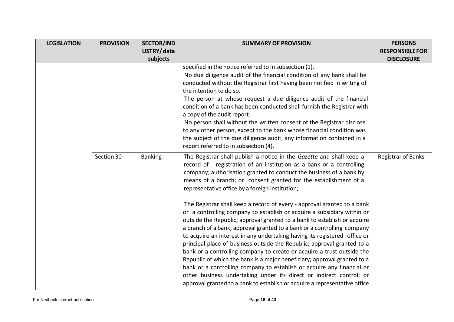| <b>LEGISLATION</b> | <b>PROVISION</b> | <b>SECTOR/IND</b> | <b>SUMMARY OF PROVISION</b>                                                                                                                                                                                                                                                                                                                                                                                                                                                                                                                                                                                                                                                                                                                                                                                                                                                                                                                                                                                                                                                                                                                                                                           | <b>PERSONS</b>            |
|--------------------|------------------|-------------------|-------------------------------------------------------------------------------------------------------------------------------------------------------------------------------------------------------------------------------------------------------------------------------------------------------------------------------------------------------------------------------------------------------------------------------------------------------------------------------------------------------------------------------------------------------------------------------------------------------------------------------------------------------------------------------------------------------------------------------------------------------------------------------------------------------------------------------------------------------------------------------------------------------------------------------------------------------------------------------------------------------------------------------------------------------------------------------------------------------------------------------------------------------------------------------------------------------|---------------------------|
|                    |                  | USTRY/data        |                                                                                                                                                                                                                                                                                                                                                                                                                                                                                                                                                                                                                                                                                                                                                                                                                                                                                                                                                                                                                                                                                                                                                                                                       | <b>RESPONSIBLE FOR</b>    |
|                    |                  | subjects          |                                                                                                                                                                                                                                                                                                                                                                                                                                                                                                                                                                                                                                                                                                                                                                                                                                                                                                                                                                                                                                                                                                                                                                                                       | <b>DISCLOSURE</b>         |
|                    |                  |                   | specified in the notice referred to in subsection (1).<br>No due diligence audit of the financial condition of any bank shall be<br>conducted without the Registrar first having been notified in writing of<br>the intention to do so.<br>The person at whose request a due diligence audit of the financial<br>condition of a bank has been conducted shall furnish the Registrar with<br>a copy of the audit report.<br>No person shall without the written consent of the Registrar disclose<br>to any other person, except to the bank whose financial condition was<br>the subject of the due diligence audit, any information contained in a<br>report referred to in subsection (4).                                                                                                                                                                                                                                                                                                                                                                                                                                                                                                          |                           |
|                    | Section 30       | <b>Banking</b>    | The Registrar shall publish a notice in the Gazette and shall keep a<br>record of - registration of an institution as a bank or a controlling<br>company; authorisation granted to conduct the business of a bank by<br>means of a branch; or consent granted for the establishment of a<br>representative office by a foreign institution;<br>The Registrar shall keep a record of every - approval granted to a bank<br>or a controlling company to establish or acquire a subsidiary within or<br>outside the Republic; approval granted to a bank to establish or acquire<br>a branch of a bank; approval granted to a bank or a controlling company<br>to acquire an interest in any undertaking having its registered office or<br>principal place of business outside the Republic; approval granted to a<br>bank or a controlling company to create or acquire a trust outside the<br>Republic of which the bank is a major beneficiary; approval granted to a<br>bank or a controlling company to establish or acquire any financial or<br>other business undertaking under its direct or indirect control; or<br>approval granted to a bank to establish or acquire a representative office | <b>Registrar of Banks</b> |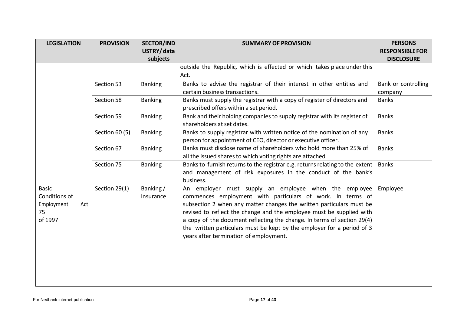| <b>LEGISLATION</b>                                                  | <b>PROVISION</b> | <b>SECTOR/IND</b>     | <b>SUMMARY OF PROVISION</b>                                                                                                                                                                                                                                                                                                                                                                                                                                        | <b>PERSONS</b>         |
|---------------------------------------------------------------------|------------------|-----------------------|--------------------------------------------------------------------------------------------------------------------------------------------------------------------------------------------------------------------------------------------------------------------------------------------------------------------------------------------------------------------------------------------------------------------------------------------------------------------|------------------------|
|                                                                     |                  | USTRY/data            |                                                                                                                                                                                                                                                                                                                                                                                                                                                                    | <b>RESPONSIBLE FOR</b> |
|                                                                     |                  | subjects              |                                                                                                                                                                                                                                                                                                                                                                                                                                                                    | <b>DISCLOSURE</b>      |
|                                                                     |                  |                       | outside the Republic, which is effected or which takes place under this                                                                                                                                                                                                                                                                                                                                                                                            |                        |
|                                                                     |                  |                       | Act.                                                                                                                                                                                                                                                                                                                                                                                                                                                               |                        |
|                                                                     | Section 53       | <b>Banking</b>        | Banks to advise the registrar of their interest in other entities and                                                                                                                                                                                                                                                                                                                                                                                              | Bank or controlling    |
|                                                                     |                  |                       | certain business transactions.                                                                                                                                                                                                                                                                                                                                                                                                                                     | company                |
|                                                                     | Section 58       | <b>Banking</b>        | Banks must supply the registrar with a copy of register of directors and<br>prescribed offers within a set period.                                                                                                                                                                                                                                                                                                                                                 | <b>Banks</b>           |
|                                                                     | Section 59       | <b>Banking</b>        | Bank and their holding companies to supply registrar with its register of<br>shareholders at set dates.                                                                                                                                                                                                                                                                                                                                                            | <b>Banks</b>           |
|                                                                     | Section 60 (5)   | <b>Banking</b>        | Banks to supply registrar with written notice of the nomination of any<br>person for appointment of CEO, director or executive officer.                                                                                                                                                                                                                                                                                                                            | <b>Banks</b>           |
|                                                                     | Section 67       | <b>Banking</b>        | Banks must disclose name of shareholders who hold more than 25% of<br>all the issued shares to which voting rights are attached                                                                                                                                                                                                                                                                                                                                    | <b>Banks</b>           |
|                                                                     | Section 75       | <b>Banking</b>        | Banks to furnish returns to the registrar e.g. returns relating to the extent<br>and management of risk exposures in the conduct of the bank's<br>business.                                                                                                                                                                                                                                                                                                        | <b>Banks</b>           |
| <b>Basic</b><br>Conditions of<br>Employment<br>Act<br>75<br>of 1997 | Section 29(1)    | Banking/<br>Insurance | An employer must supply an employee when the employee<br>commences employment with particulars of work. In terms of<br>subsection 2 when any matter changes the written particulars must be<br>revised to reflect the change and the employee must be supplied with<br>a copy of the document reflecting the change. In terms of section 29(4)<br>the written particulars must be kept by the employer for a period of 3<br>years after termination of employment. | Employee               |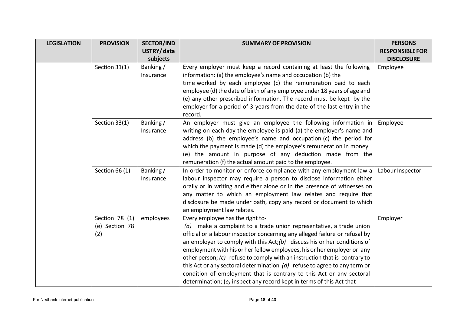| <b>LEGISLATION</b> | <b>PROVISION</b>                 | <b>SECTOR/IND</b> | <b>SUMMARY OF PROVISION</b>                                                                               | <b>PERSONS</b>         |
|--------------------|----------------------------------|-------------------|-----------------------------------------------------------------------------------------------------------|------------------------|
|                    |                                  | USTRY/data        |                                                                                                           | <b>RESPONSIBLE FOR</b> |
|                    |                                  | subjects          |                                                                                                           | <b>DISCLOSURE</b>      |
|                    | Section 31(1)                    | Banking/          | Every employer must keep a record containing at least the following                                       | Employee               |
|                    |                                  | Insurance         | information: (a) the employee's name and occupation (b) the                                               |                        |
|                    |                                  |                   | time worked by each employee (c) the remuneration paid to each                                            |                        |
|                    |                                  |                   | employee (d) the date of birth of any employee under 18 years of age and                                  |                        |
|                    |                                  |                   | (e) any other prescribed information. The record must be kept by the                                      |                        |
|                    |                                  |                   | employer for a period of 3 years from the date of the last entry in the<br>record.                        |                        |
|                    | Section 33(1)                    | Banking/          | An employer must give an employee the following information in                                            | Employee               |
|                    |                                  | Insurance         | writing on each day the employee is paid (a) the employer's name and                                      |                        |
|                    |                                  |                   | address (b) the employee's name and occupation (c) the period for                                         |                        |
|                    |                                  |                   | which the payment is made (d) the employee's remuneration in money                                        |                        |
|                    |                                  |                   | (e) the amount in purpose of any deduction made from the                                                  |                        |
|                    |                                  |                   | remuneration (f) the actual amount paid to the employee.                                                  |                        |
|                    | Section 66 (1)                   | Banking/          | In order to monitor or enforce compliance with any employment law a                                       | Labour Inspector       |
|                    |                                  | Insurance         | labour inspector may require a person to disclose information either                                      |                        |
|                    |                                  |                   | orally or in writing and either alone or in the presence of witnesses on                                  |                        |
|                    |                                  |                   | any matter to which an employment law relates and require that                                            |                        |
|                    |                                  |                   | disclosure be made under oath, copy any record or document to which                                       |                        |
|                    |                                  |                   | an employment law relates.                                                                                |                        |
|                    | Section 78 (1)<br>(e) Section 78 | employees         | Every employee has the right to-<br>$(a)$ make a complaint to a trade union representative, a trade union | Employer               |
|                    | (2)                              |                   | official or a labour inspector concerning any alleged failure or refusal by                               |                        |
|                    |                                  |                   | an employer to comply with this $Act; (b)$ discuss his or her conditions of                               |                        |
|                    |                                  |                   | employment with his or her fellow employees, his or her employer or any                                   |                        |
|                    |                                  |                   | other person; (c) refuse to comply with an instruction that is contrary to                                |                        |
|                    |                                  |                   | this Act or any sectoral determination $(d)$ refuse to agree to any term or                               |                        |
|                    |                                  |                   | condition of employment that is contrary to this Act or any sectoral                                      |                        |
|                    |                                  |                   | determination; (e) inspect any record kept in terms of this Act that                                      |                        |
|                    |                                  |                   |                                                                                                           |                        |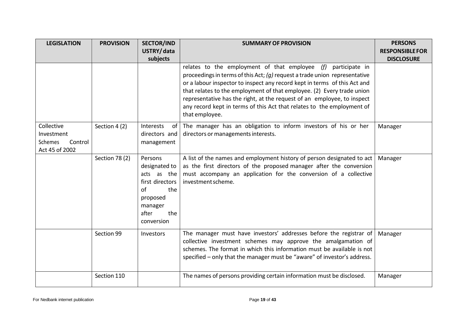| <b>LEGISLATION</b> | <b>PROVISION</b> | <b>SECTOR/IND</b>            | <b>SUMMARY OF PROVISION</b>                                                              | <b>PERSONS</b>         |
|--------------------|------------------|------------------------------|------------------------------------------------------------------------------------------|------------------------|
|                    |                  | USTRY/data                   |                                                                                          | <b>RESPONSIBLE FOR</b> |
|                    |                  | subjects                     |                                                                                          | <b>DISCLOSURE</b>      |
|                    |                  |                              | relates to the employment of that employee (f) participate in                            |                        |
|                    |                  |                              | proceedings in terms of this Act; $(g)$ request a trade union representative             |                        |
|                    |                  |                              | or a labour inspector to inspect any record kept in terms of this Act and                |                        |
|                    |                  |                              | that relates to the employment of that employee. (2) Every trade union                   |                        |
|                    |                  |                              | representative has the right, at the request of an employee, to inspect                  |                        |
|                    |                  |                              | any record kept in terms of this Act that relates to the employment of<br>that employee. |                        |
| Collective         | Section 4 (2)    | Interests<br>of              | The manager has an obligation to inform investors of his or her                          | Manager                |
| Investment         |                  | directors and                | directors or managements interests.                                                      |                        |
| Schemes<br>Control |                  | management                   |                                                                                          |                        |
| Act 45 of 2002     |                  |                              |                                                                                          |                        |
|                    | Section 78 (2)   | Persons                      | A list of the names and employment history of person designated to act                   | Manager                |
|                    |                  | designated to                | as the first directors of the proposed manager after the conversion                      |                        |
|                    |                  | acts as the                  | must accompany an application for the conversion of a collective                         |                        |
|                    |                  | first directors<br>of<br>the | investment scheme.                                                                       |                        |
|                    |                  | proposed                     |                                                                                          |                        |
|                    |                  | manager                      |                                                                                          |                        |
|                    |                  | after<br>the                 |                                                                                          |                        |
|                    |                  | conversion                   |                                                                                          |                        |
|                    |                  |                              |                                                                                          |                        |
|                    | Section 99       | Investors                    | The manager must have investors' addresses before the registrar of                       | Manager                |
|                    |                  |                              | collective investment schemes may approve the amalgamation of                            |                        |
|                    |                  |                              | schemes. The format in which this information must be available is not                   |                        |
|                    |                  |                              | specified - only that the manager must be "aware" of investor's address.                 |                        |
|                    | Section 110      |                              | The names of persons providing certain information must be disclosed.                    | Manager                |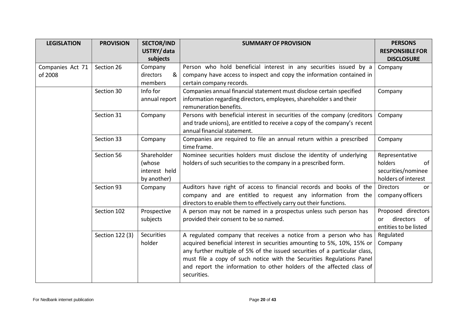| <b>LEGISLATION</b>          | <b>PROVISION</b> | <b>SECTOR/IND</b>                                     | <b>SUMMARY OF PROVISION</b>                                                                                                                                                                                                                                                                                                                                                               | <b>PERSONS</b>                                                               |
|-----------------------------|------------------|-------------------------------------------------------|-------------------------------------------------------------------------------------------------------------------------------------------------------------------------------------------------------------------------------------------------------------------------------------------------------------------------------------------------------------------------------------------|------------------------------------------------------------------------------|
|                             |                  | USTRY/data<br>subjects                                |                                                                                                                                                                                                                                                                                                                                                                                           | <b>RESPONSIBLE FOR</b><br><b>DISCLOSURE</b>                                  |
| Companies Act 71<br>of 2008 | Section 26       | Company<br>directors<br>&<br>members                  | Person who hold beneficial interest in any securities issued by a<br>company have access to inspect and copy the information contained in<br>certain company records.                                                                                                                                                                                                                     | Company                                                                      |
|                             | Section 30       | Info for<br>annual report                             | Companies annual financial statement must disclose certain specified<br>information regarding directors, employees, shareholder s and their<br>remuneration benefits.                                                                                                                                                                                                                     | Company                                                                      |
|                             | Section 31       | Company                                               | Persons with beneficial interest in securities of the company (creditors<br>and trade unions), are entitled to receive a copy of the company's recent<br>annual financial statement.                                                                                                                                                                                                      | Company                                                                      |
|                             | Section 33       | Company                                               | Companies are required to file an annual return within a prescribed<br>time frame.                                                                                                                                                                                                                                                                                                        | Company                                                                      |
|                             | Section 56       | Shareholder<br>(whose<br>interest held<br>by another) | Nominee securities holders must disclose the identity of underlying<br>holders of such securities to the company in a prescribed form.                                                                                                                                                                                                                                                    | Representative<br>holders<br>of<br>securities/nominee<br>holders of interest |
|                             | Section 93       | Company                                               | Auditors have right of access to financial records and books of the<br>company and are entitled to request any information from the<br>directors to enable them to effectively carry out their functions.                                                                                                                                                                                 | <b>Directors</b><br>or<br>company officers                                   |
|                             | Section 102      | Prospective<br>subjects                               | A person may not be named in a prospectus unless such person has<br>provided their consent to be so named.                                                                                                                                                                                                                                                                                | Proposed directors<br>directors<br><b>or</b><br>of<br>entities to be listed  |
|                             | Section 122 (3)  | <b>Securities</b><br>holder                           | A regulated company that receives a notice from a person who has<br>acquired beneficial interest in securities amounting to 5%, 10%, 15% or<br>any further multiple of 5% of the issued securities of a particular class,<br>must file a copy of such notice with the Securities Regulations Panel<br>and report the information to other holders of the affected class of<br>securities. | Regulated<br>Company                                                         |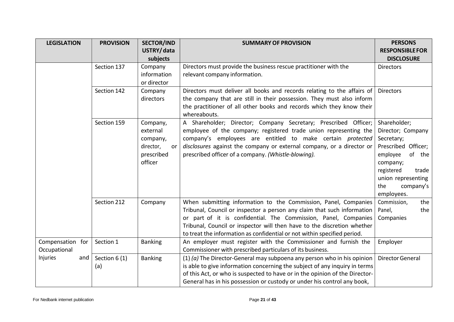| <b>LEGISLATION</b> | <b>PROVISION</b> | <b>SECTOR/IND</b> | <b>SUMMARY OF PROVISION</b>                                                           | <b>PERSONS</b>                            |
|--------------------|------------------|-------------------|---------------------------------------------------------------------------------------|-------------------------------------------|
|                    |                  | USTRY/data        |                                                                                       | <b>RESPONSIBLE FOR</b>                    |
|                    |                  | subjects          |                                                                                       | <b>DISCLOSURE</b>                         |
|                    | Section 137      | Company           | Directors must provide the business rescue practitioner with the                      | <b>Directors</b>                          |
|                    |                  | information       | relevant company information.                                                         |                                           |
|                    |                  | or director       |                                                                                       |                                           |
|                    | Section 142      | Company           | Directors must deliver all books and records relating to the affairs of               | <b>Directors</b>                          |
|                    |                  | directors         | the company that are still in their possession. They must also inform                 |                                           |
|                    |                  |                   | the practitioner of all other books and records which they know their<br>whereabouts. |                                           |
|                    | Section 159      | Company,          | A Shareholder; Director; Company Secretary; Prescribed Officer;                       | Shareholder;                              |
|                    |                  | external          | employee of the company; registered trade union representing the                      | Director; Company                         |
|                    |                  | company,          | company's employees are entitled to make certain protected                            | Secretary;                                |
|                    |                  | director,<br>or   | disclosures against the company or external company, or a director or                 | Prescribed Officer;                       |
|                    |                  | prescribed        | prescribed officer of a company. (Whistle-blowing).                                   | employee<br>of the                        |
|                    |                  | officer           |                                                                                       | company;                                  |
|                    |                  |                   |                                                                                       | registered<br>trade<br>union representing |
|                    |                  |                   |                                                                                       | the<br>company's                          |
|                    |                  |                   |                                                                                       | employees.                                |
|                    | Section 212      | Company           | When submitting information to the Commission, Panel, Companies                       | Commission,<br>the                        |
|                    |                  |                   | Tribunal, Council or inspector a person any claim that such information               | the<br>Panel,                             |
|                    |                  |                   | or part of it is confidential. The Commission, Panel, Companies                       | Companies                                 |
|                    |                  |                   | Tribunal, Council or inspector will then have to the discretion whether               |                                           |
|                    |                  |                   | to treat the information as confidential or not within specified period.              |                                           |
| Compensation for   | Section 1        | <b>Banking</b>    | An employer must register with the Commissioner and furnish the                       | Employer                                  |
| Occupational       |                  |                   | Commissioner with prescribed particulars of its business.                             |                                           |
| Injuries<br>and    | Section 6 (1)    | <b>Banking</b>    | (1) ( $a$ ) The Director-General may subpoena any person who in his opinion           | <b>Director General</b>                   |
|                    | (a)              |                   | is able to give information concerning the subject of any inquiry in terms            |                                           |
|                    |                  |                   | of this Act, or who is suspected to have or in the opinion of the Director-           |                                           |
|                    |                  |                   | General has in his possession or custody or under his control any book,               |                                           |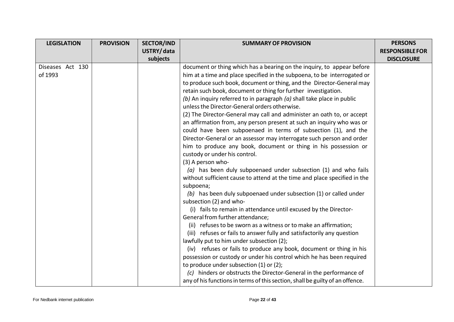| <b>LEGISLATION</b> | <b>PROVISION</b> | <b>SECTOR/IND</b> | <b>SUMMARY OF PROVISION</b>                                                   | <b>PERSONS</b>         |
|--------------------|------------------|-------------------|-------------------------------------------------------------------------------|------------------------|
|                    |                  | USTRY/data        |                                                                               | <b>RESPONSIBLE FOR</b> |
|                    |                  | subjects          |                                                                               | <b>DISCLOSURE</b>      |
| Diseases Act 130   |                  |                   | document or thing which has a bearing on the inquiry, to appear before        |                        |
| of 1993            |                  |                   | him at a time and place specified in the subpoena, to be interrogated or      |                        |
|                    |                  |                   | to produce such book, document or thing, and the Director-General may         |                        |
|                    |                  |                   | retain such book, document or thing for further investigation.                |                        |
|                    |                  |                   | (b) An inquiry referred to in paragraph $(a)$ shall take place in public      |                        |
|                    |                  |                   | unless the Director-General orders otherwise.                                 |                        |
|                    |                  |                   | (2) The Director-General may call and administer an oath to, or accept        |                        |
|                    |                  |                   | an affirmation from, any person present at such an inquiry who was or         |                        |
|                    |                  |                   | could have been subpoenaed in terms of subsection (1), and the                |                        |
|                    |                  |                   | Director-General or an assessor may interrogate such person and order         |                        |
|                    |                  |                   | him to produce any book, document or thing in his possession or               |                        |
|                    |                  |                   | custody or under his control.                                                 |                        |
|                    |                  |                   | (3) A person who-                                                             |                        |
|                    |                  |                   | $(a)$ has been duly subpoenaed under subsection (1) and who fails             |                        |
|                    |                  |                   | without sufficient cause to attend at the time and place specified in the     |                        |
|                    |                  |                   | subpoena;                                                                     |                        |
|                    |                  |                   | (b) has been duly subpoenaed under subsection (1) or called under             |                        |
|                    |                  |                   | subsection (2) and who-                                                       |                        |
|                    |                  |                   | (i) fails to remain in attendance until excused by the Director-              |                        |
|                    |                  |                   | General from further attendance;                                              |                        |
|                    |                  |                   | (ii) refuses to be sworn as a witness or to make an affirmation;              |                        |
|                    |                  |                   | (iii) refuses or fails to answer fully and satisfactorily any question        |                        |
|                    |                  |                   | lawfully put to him under subsection (2);                                     |                        |
|                    |                  |                   | (iv) refuses or fails to produce any book, document or thing in his           |                        |
|                    |                  |                   | possession or custody or under his control which he has been required         |                        |
|                    |                  |                   | to produce under subsection (1) or (2);                                       |                        |
|                    |                  |                   | (c) hinders or obstructs the Director-General in the performance of           |                        |
|                    |                  |                   | any of his functions in terms of this section, shall be guilty of an offence. |                        |
|                    |                  |                   |                                                                               |                        |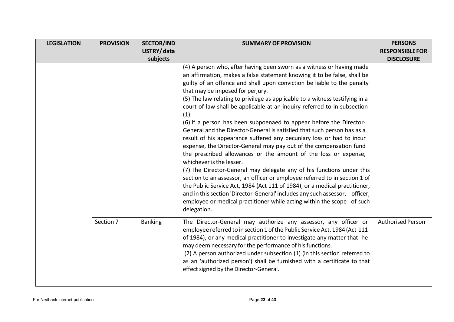| <b>LEGISLATION</b> | <b>PROVISION</b> | <b>SECTOR/IND</b> | <b>SUMMARY OF PROVISION</b>                                                                                                                                                                                                                                                                                                                                                                                                                                                                                                                                                                                                                                                                                                                                                                                                                                                                                                                                                                                                                                                                                                                                                                                                                     | <b>PERSONS</b>           |
|--------------------|------------------|-------------------|-------------------------------------------------------------------------------------------------------------------------------------------------------------------------------------------------------------------------------------------------------------------------------------------------------------------------------------------------------------------------------------------------------------------------------------------------------------------------------------------------------------------------------------------------------------------------------------------------------------------------------------------------------------------------------------------------------------------------------------------------------------------------------------------------------------------------------------------------------------------------------------------------------------------------------------------------------------------------------------------------------------------------------------------------------------------------------------------------------------------------------------------------------------------------------------------------------------------------------------------------|--------------------------|
|                    |                  | USTRY/data        |                                                                                                                                                                                                                                                                                                                                                                                                                                                                                                                                                                                                                                                                                                                                                                                                                                                                                                                                                                                                                                                                                                                                                                                                                                                 | <b>RESPONSIBLE FOR</b>   |
|                    |                  | subjects          |                                                                                                                                                                                                                                                                                                                                                                                                                                                                                                                                                                                                                                                                                                                                                                                                                                                                                                                                                                                                                                                                                                                                                                                                                                                 | <b>DISCLOSURE</b>        |
|                    |                  |                   | (4) A person who, after having been sworn as a witness or having made<br>an affirmation, makes a false statement knowing it to be false, shall be<br>guilty of an offence and shall upon conviction be liable to the penalty<br>that may be imposed for perjury.<br>(5) The law relating to privilege as applicable to a witness testifying in a<br>court of law shall be applicable at an inquiry referred to in subsection<br>(1).<br>(6) If a person has been subpoenaed to appear before the Director-<br>General and the Director-General is satisfied that such person has as a<br>result of his appearance suffered any pecuniary loss or had to incur<br>expense, the Director-General may pay out of the compensation fund<br>the prescribed allowances or the amount of the loss or expense,<br>whichever is the lesser.<br>(7) The Director-General may delegate any of his functions under this<br>section to an assessor, an officer or employee referred to in section 1 of<br>the Public Service Act, 1984 (Act 111 of 1984), or a medical practitioner,<br>and in this section 'Director-General' includes any such assessor, officer,<br>employee or medical practitioner while acting within the scope of such<br>delegation. |                          |
|                    | Section 7        | <b>Banking</b>    | The Director-General may authorize any assessor, any officer or<br>employee referred to in section 1 of the Public Service Act, 1984 (Act 111<br>of 1984), or any medical practitioner to investigate any matter that he<br>may deem necessary for the performance of his functions.<br>(2) A person authorized under subsection (1) (in this section referred to<br>as an 'authorized person') shall be furnished with a certificate to that<br>effect signed by the Director-General.                                                                                                                                                                                                                                                                                                                                                                                                                                                                                                                                                                                                                                                                                                                                                         | <b>Authorised Person</b> |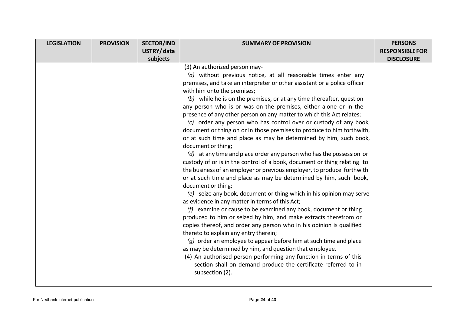| <b>LEGISLATION</b> | <b>PROVISION</b> | <b>SECTOR/IND</b> | <b>SUMMARY OF PROVISION</b>                                                                                                                                                                                                                                                                                                                                                                                                                                                                                                                                                                                                                                                                                                                                                                                                                                                                                                                                                                                                                                                                                                                                                                                                                                                                                                                                                                                                                                                                                                                                                                                                                                                            | <b>PERSONS</b>         |
|--------------------|------------------|-------------------|----------------------------------------------------------------------------------------------------------------------------------------------------------------------------------------------------------------------------------------------------------------------------------------------------------------------------------------------------------------------------------------------------------------------------------------------------------------------------------------------------------------------------------------------------------------------------------------------------------------------------------------------------------------------------------------------------------------------------------------------------------------------------------------------------------------------------------------------------------------------------------------------------------------------------------------------------------------------------------------------------------------------------------------------------------------------------------------------------------------------------------------------------------------------------------------------------------------------------------------------------------------------------------------------------------------------------------------------------------------------------------------------------------------------------------------------------------------------------------------------------------------------------------------------------------------------------------------------------------------------------------------------------------------------------------------|------------------------|
|                    |                  | USTRY/data        |                                                                                                                                                                                                                                                                                                                                                                                                                                                                                                                                                                                                                                                                                                                                                                                                                                                                                                                                                                                                                                                                                                                                                                                                                                                                                                                                                                                                                                                                                                                                                                                                                                                                                        | <b>RESPONSIBLE FOR</b> |
|                    |                  | subjects          |                                                                                                                                                                                                                                                                                                                                                                                                                                                                                                                                                                                                                                                                                                                                                                                                                                                                                                                                                                                                                                                                                                                                                                                                                                                                                                                                                                                                                                                                                                                                                                                                                                                                                        | <b>DISCLOSURE</b>      |
|                    |                  |                   | (3) An authorized person may-<br>$(a)$ without previous notice, at all reasonable times enter any<br>premises, and take an interpreter or other assistant or a police officer<br>with him onto the premises;<br>$(b)$ while he is on the premises, or at any time thereafter, question<br>any person who is or was on the premises, either alone or in the<br>presence of any other person on any matter to which this Act relates;<br>(c) order any person who has control over or custody of any book,<br>document or thing on or in those premises to produce to him forthwith,<br>or at such time and place as may be determined by him, such book,<br>document or thing;<br>(d) at any time and place order any person who has the possession or<br>custody of or is in the control of a book, document or thing relating to<br>the business of an employer or previous employer, to produce forthwith<br>or at such time and place as may be determined by him, such book,<br>document or thing;<br>(e) seize any book, document or thing which in his opinion may serve<br>as evidence in any matter in terms of this Act;<br>(f) examine or cause to be examined any book, document or thing<br>produced to him or seized by him, and make extracts therefrom or<br>copies thereof, and order any person who in his opinion is qualified<br>thereto to explain any entry therein;<br>$(g)$ order an employee to appear before him at such time and place<br>as may be determined by him, and question that employee.<br>(4) An authorised person performing any function in terms of this<br>section shall on demand produce the certificate referred to in<br>subsection (2). |                        |
|                    |                  |                   |                                                                                                                                                                                                                                                                                                                                                                                                                                                                                                                                                                                                                                                                                                                                                                                                                                                                                                                                                                                                                                                                                                                                                                                                                                                                                                                                                                                                                                                                                                                                                                                                                                                                                        |                        |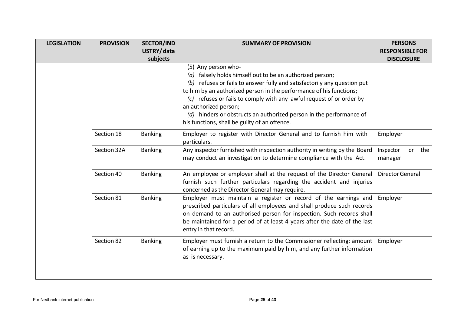| <b>LEGISLATION</b> | <b>PROVISION</b> | <b>SECTOR/IND</b> | <b>SUMMARY OF PROVISION</b>                                                                                                                                                                                                                                                                                             | <b>PERSONS</b>                    |
|--------------------|------------------|-------------------|-------------------------------------------------------------------------------------------------------------------------------------------------------------------------------------------------------------------------------------------------------------------------------------------------------------------------|-----------------------------------|
|                    |                  | USTRY/data        |                                                                                                                                                                                                                                                                                                                         | <b>RESPONSIBLE FOR</b>            |
|                    |                  | subjects          |                                                                                                                                                                                                                                                                                                                         | <b>DISCLOSURE</b>                 |
|                    |                  |                   | (5) Any person who-<br>( $a$ ) falsely holds himself out to be an authorized person;<br>(b) refuses or fails to answer fully and satisfactorily any question put                                                                                                                                                        |                                   |
|                    |                  |                   | to him by an authorized person in the performance of his functions;<br>(c) refuses or fails to comply with any lawful request of or order by<br>an authorized person;                                                                                                                                                   |                                   |
|                    |                  |                   | (d) hinders or obstructs an authorized person in the performance of<br>his functions, shall be guilty of an offence.                                                                                                                                                                                                    |                                   |
|                    | Section 18       | <b>Banking</b>    | Employer to register with Director General and to furnish him with<br>particulars.                                                                                                                                                                                                                                      | Employer                          |
|                    | Section 32A      | <b>Banking</b>    | Any inspector furnished with inspection authority in writing by the Board<br>may conduct an investigation to determine compliance with the Act.                                                                                                                                                                         | Inspector<br>the<br>or<br>manager |
|                    | Section 40       | <b>Banking</b>    | An employee or employer shall at the request of the Director General<br>furnish such further particulars regarding the accident and injuries<br>concerned as the Director General may require.                                                                                                                          | <b>Director General</b>           |
|                    | Section 81       | <b>Banking</b>    | Employer must maintain a register or record of the earnings and<br>prescribed particulars of all employees and shall produce such records<br>on demand to an authorised person for inspection. Such records shall<br>be maintained for a period of at least 4 years after the date of the last<br>entry in that record. | Employer                          |
|                    | Section 82       | <b>Banking</b>    | Employer must furnish a return to the Commissioner reflecting: amount<br>of earning up to the maximum paid by him, and any further information<br>as is necessary.                                                                                                                                                      | Employer                          |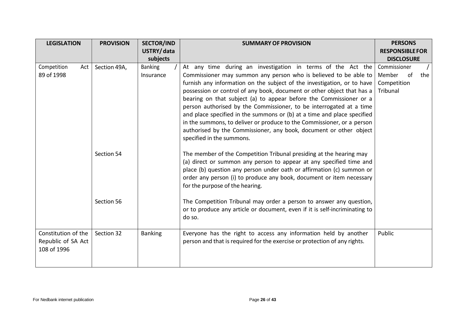| <b>LEGISLATION</b>                                       | <b>PROVISION</b> | <b>SECTOR/IND</b>           | <b>SUMMARY OF PROVISION</b>                                                                                                                                                                                                                                                                                                                                                                                                                                                                                                                                                                                                                                  | <b>PERSONS</b>                                                 |
|----------------------------------------------------------|------------------|-----------------------------|--------------------------------------------------------------------------------------------------------------------------------------------------------------------------------------------------------------------------------------------------------------------------------------------------------------------------------------------------------------------------------------------------------------------------------------------------------------------------------------------------------------------------------------------------------------------------------------------------------------------------------------------------------------|----------------------------------------------------------------|
|                                                          |                  | USTRY/data<br>subjects      |                                                                                                                                                                                                                                                                                                                                                                                                                                                                                                                                                                                                                                                              | <b>RESPONSIBLE FOR</b><br><b>DISCLOSURE</b>                    |
| Competition<br>Act<br>89 of 1998                         | Section 49A,     | <b>Banking</b><br>Insurance | At any time during an investigation in terms of the Act the<br>Commissioner may summon any person who is believed to be able to<br>furnish any information on the subject of the investigation, or to have<br>possession or control of any book, document or other object that has a<br>bearing on that subject (a) to appear before the Commissioner or a<br>person authorised by the Commissioner, to be interrogated at a time<br>and place specified in the summons or (b) at a time and place specified<br>in the summons, to deliver or produce to the Commissioner, or a person<br>authorised by the Commissioner, any book, document or other object | Commissioner<br>Member<br>of<br>the<br>Competition<br>Tribunal |
|                                                          | Section 54       |                             | specified in the summons.<br>The member of the Competition Tribunal presiding at the hearing may<br>(a) direct or summon any person to appear at any specified time and<br>place (b) question any person under oath or affirmation (c) summon or<br>order any person (i) to produce any book, document or item necessary<br>for the purpose of the hearing.                                                                                                                                                                                                                                                                                                  |                                                                |
|                                                          | Section 56       |                             | The Competition Tribunal may order a person to answer any question,<br>or to produce any article or document, even if it is self-incriminating to<br>do so.                                                                                                                                                                                                                                                                                                                                                                                                                                                                                                  |                                                                |
| Constitution of the<br>Republic of SA Act<br>108 of 1996 | Section 32       | <b>Banking</b>              | Everyone has the right to access any information held by another<br>person and that is required for the exercise or protection of any rights.                                                                                                                                                                                                                                                                                                                                                                                                                                                                                                                | Public                                                         |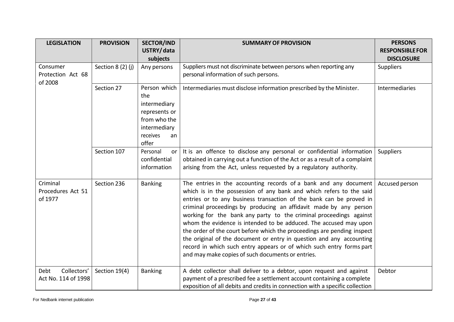| <b>LEGISLATION</b>           | <b>PROVISION</b>  | <b>SECTOR/IND</b>       | <b>SUMMARY OF PROVISION</b>                                                                                               | <b>PERSONS</b>         |
|------------------------------|-------------------|-------------------------|---------------------------------------------------------------------------------------------------------------------------|------------------------|
|                              |                   | USTRY/data              |                                                                                                                           | <b>RESPONSIBLE FOR</b> |
|                              |                   | subjects                |                                                                                                                           | <b>DISCLOSURE</b>      |
| Consumer                     | Section 8 (2) (j) | Any persons             | Suppliers must not discriminate between persons when reporting any                                                        | <b>Suppliers</b>       |
| Protection Act 68<br>of 2008 |                   |                         | personal information of such persons.                                                                                     |                        |
|                              | Section 27        | Person which            | Intermediaries must disclose information prescribed by the Minister.                                                      | Intermediaries         |
|                              |                   | the                     |                                                                                                                           |                        |
|                              |                   | intermediary            |                                                                                                                           |                        |
|                              |                   | represents or           |                                                                                                                           |                        |
|                              |                   | from who the            |                                                                                                                           |                        |
|                              |                   | intermediary            |                                                                                                                           |                        |
|                              |                   | receives<br>an<br>offer |                                                                                                                           |                        |
|                              | Section 107       | Personal<br>or          | It is an offence to disclose any personal or confidential information                                                     | <b>Suppliers</b>       |
|                              |                   | confidential            | obtained in carrying out a function of the Act or as a result of a complaint                                              |                        |
|                              |                   | information             | arising from the Act, unless requested by a regulatory authority.                                                         |                        |
|                              |                   |                         |                                                                                                                           |                        |
| Criminal                     | Section 236       | <b>Banking</b>          | The entries in the accounting records of a bank and any document                                                          | Accused person         |
| Procedures Act 51            |                   |                         | which is in the possession of any bank and which refers to the said                                                       |                        |
| of 1977                      |                   |                         | entries or to any business transaction of the bank can be proved in                                                       |                        |
|                              |                   |                         | criminal proceedings by producing an affidavit made by any person                                                         |                        |
|                              |                   |                         | working for the bank any party to the criminal proceedings against                                                        |                        |
|                              |                   |                         | whom the evidence is intended to be adduced. The accused may upon                                                         |                        |
|                              |                   |                         | the order of the court before which the proceedings are pending inspect                                                   |                        |
|                              |                   |                         | the original of the document or entry in question and any accounting                                                      |                        |
|                              |                   |                         | record in which such entry appears or of which such entry forms part<br>and may make copies of such documents or entries. |                        |
|                              |                   |                         |                                                                                                                           |                        |
| Collectors'<br>Debt          | Section 19(4)     | <b>Banking</b>          | A debt collector shall deliver to a debtor, upon request and against                                                      | Debtor                 |
| Act No. 114 of 1998          |                   |                         | payment of a prescribed fee a settlement account containing a complete                                                    |                        |
|                              |                   |                         | exposition of all debits and credits in connection with a specific collection                                             |                        |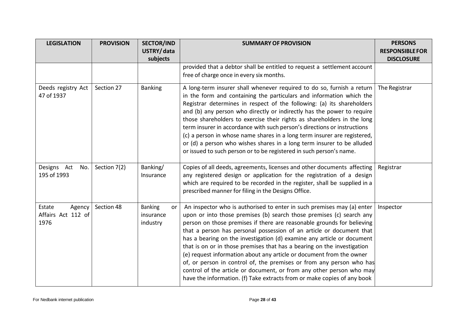| <b>LEGISLATION</b>                             | <b>PROVISION</b> | <b>SECTOR/IND</b><br>USTRY/data               | <b>SUMMARY OF PROVISION</b>                                                                                                                                                                                                                                                                                                                                                                                                                                                                                                                                                                                                                                                                                                                              | <b>PERSONS</b><br><b>RESPONSIBLE FOR</b> |
|------------------------------------------------|------------------|-----------------------------------------------|----------------------------------------------------------------------------------------------------------------------------------------------------------------------------------------------------------------------------------------------------------------------------------------------------------------------------------------------------------------------------------------------------------------------------------------------------------------------------------------------------------------------------------------------------------------------------------------------------------------------------------------------------------------------------------------------------------------------------------------------------------|------------------------------------------|
|                                                |                  | subjects                                      | provided that a debtor shall be entitled to request a settlement account                                                                                                                                                                                                                                                                                                                                                                                                                                                                                                                                                                                                                                                                                 | <b>DISCLOSURE</b>                        |
|                                                |                  |                                               | free of charge once in every six months.                                                                                                                                                                                                                                                                                                                                                                                                                                                                                                                                                                                                                                                                                                                 |                                          |
| Deeds registry Act<br>47 of 1937               | Section 27       | <b>Banking</b>                                | A long-term insurer shall whenever required to do so, furnish a return<br>in the form and containing the particulars and information which the<br>Registrar determines in respect of the following: (a) its shareholders<br>and (b) any person who directly or indirectly has the power to require<br>those shareholders to exercise their rights as shareholders in the long<br>term insurer in accordance with such person's directions or instructions<br>(c) a person in whose name shares in a long term insurer are registered,<br>or (d) a person who wishes shares in a long term insurer to be alluded<br>or issued to such person or to be registered in such person's name.                                                                   | The Registrar                            |
| Designs Act<br>No.<br>195 of 1993              | Section 7(2)     | Banking/<br>Insurance                         | Copies of all deeds, agreements, licenses and other documents affecting<br>any registered design or application for the registration of a design<br>which are required to be recorded in the register, shall be supplied in a<br>prescribed manner for filing in the Designs Office.                                                                                                                                                                                                                                                                                                                                                                                                                                                                     | Registrar                                |
| Estate<br>Agency<br>Affairs Act 112 of<br>1976 | Section 48       | <b>Banking</b><br>or<br>insurance<br>industry | An inspector who is authorised to enter in such premises may (a) enter<br>upon or into those premises (b) search those premises (c) search any<br>person on those premises if there are reasonable grounds for believing<br>that a person has personal possession of an article or document that<br>has a bearing on the investigation (d) examine any article or document<br>that is on or in those premises that has a bearing on the investigation<br>(e) request information about any article or document from the owner<br>of, or person in control of, the premises or from any person who has<br>control of the article or document, or from any other person who may<br>have the information. (f) Take extracts from or make copies of any book | Inspector                                |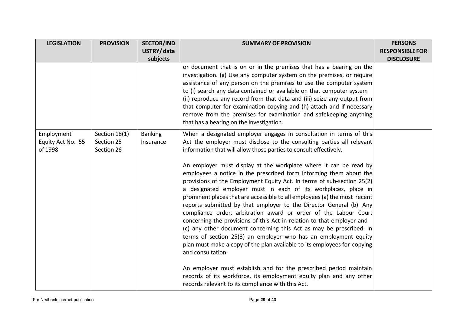| <b>LEGISLATION</b> | <b>PROVISION</b> | <b>SECTOR/IND</b> | <b>SUMMARY OF PROVISION</b>                                                                                                             | <b>PERSONS</b>         |
|--------------------|------------------|-------------------|-----------------------------------------------------------------------------------------------------------------------------------------|------------------------|
|                    |                  | USTRY/data        |                                                                                                                                         | <b>RESPONSIBLE FOR</b> |
|                    |                  | subjects          |                                                                                                                                         | <b>DISCLOSURE</b>      |
|                    |                  |                   | or document that is on or in the premises that has a bearing on the                                                                     |                        |
|                    |                  |                   | investigation. (g) Use any computer system on the premises, or require                                                                  |                        |
|                    |                  |                   | assistance of any person on the premises to use the computer system                                                                     |                        |
|                    |                  |                   | to (i) search any data contained or available on that computer system                                                                   |                        |
|                    |                  |                   | (ii) reproduce any record from that data and (iii) seize any output from                                                                |                        |
|                    |                  |                   | that computer for examination copying and (h) attach and if necessary                                                                   |                        |
|                    |                  |                   | remove from the premises for examination and safekeeping anything<br>that has a bearing on the investigation.                           |                        |
|                    |                  |                   |                                                                                                                                         |                        |
| Employment         | Section 18(1)    | <b>Banking</b>    | When a designated employer engages in consultation in terms of this                                                                     |                        |
| Equity Act No. 55  | Section 25       | Insurance         | Act the employer must disclose to the consulting parties all relevant                                                                   |                        |
| of 1998            | Section 26       |                   | information that will allow those parties to consult effectively.                                                                       |                        |
|                    |                  |                   |                                                                                                                                         |                        |
|                    |                  |                   | An employer must display at the workplace where it can be read by<br>employees a notice in the prescribed form informing them about the |                        |
|                    |                  |                   | provisions of the Employment Equity Act. In terms of sub-section 25(2)                                                                  |                        |
|                    |                  |                   | a designated employer must in each of its workplaces, place in                                                                          |                        |
|                    |                  |                   | prominent places that are accessible to all employees (a) the most recent                                                               |                        |
|                    |                  |                   | reports submitted by that employer to the Director General (b) Any                                                                      |                        |
|                    |                  |                   | compliance order, arbitration award or order of the Labour Court                                                                        |                        |
|                    |                  |                   | concerning the provisions of this Act in relation to that employer and                                                                  |                        |
|                    |                  |                   | (c) any other document concerning this Act as may be prescribed. In                                                                     |                        |
|                    |                  |                   | terms of section 25(3) an employer who has an employment equity                                                                         |                        |
|                    |                  |                   | plan must make a copy of the plan available to its employees for copying                                                                |                        |
|                    |                  |                   | and consultation.                                                                                                                       |                        |
|                    |                  |                   |                                                                                                                                         |                        |
|                    |                  |                   | An employer must establish and for the prescribed period maintain                                                                       |                        |
|                    |                  |                   | records of its workforce, its employment equity plan and any other                                                                      |                        |
|                    |                  |                   | records relevant to its compliance with this Act.                                                                                       |                        |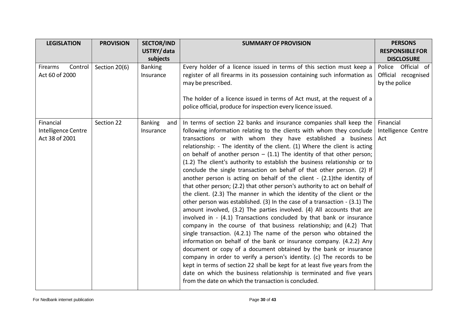| <b>LEGISLATION</b>                    | <b>PROVISION</b> | <b>SECTOR/IND</b>     | <b>SUMMARY OF PROVISION</b>                                                                                                                                                                                                                                                                                                                                                                                                                                                                                                                                                                                                                                                                                                                                                                                                                                                                                                                        | <b>PERSONS</b>                       |
|---------------------------------------|------------------|-----------------------|----------------------------------------------------------------------------------------------------------------------------------------------------------------------------------------------------------------------------------------------------------------------------------------------------------------------------------------------------------------------------------------------------------------------------------------------------------------------------------------------------------------------------------------------------------------------------------------------------------------------------------------------------------------------------------------------------------------------------------------------------------------------------------------------------------------------------------------------------------------------------------------------------------------------------------------------------|--------------------------------------|
|                                       |                  | USTRY/data            |                                                                                                                                                                                                                                                                                                                                                                                                                                                                                                                                                                                                                                                                                                                                                                                                                                                                                                                                                    | <b>RESPONSIBLE FOR</b>               |
|                                       |                  | subjects              |                                                                                                                                                                                                                                                                                                                                                                                                                                                                                                                                                                                                                                                                                                                                                                                                                                                                                                                                                    | <b>DISCLOSURE</b>                    |
| Firearms<br>Control                   | Section 20(6)    | <b>Banking</b>        | Every holder of a licence issued in terms of this section must keep a                                                                                                                                                                                                                                                                                                                                                                                                                                                                                                                                                                                                                                                                                                                                                                                                                                                                              | Official of<br>Police                |
| Act 60 of 2000                        |                  | Insurance             | register of all firearms in its possession containing such information as<br>may be prescribed.                                                                                                                                                                                                                                                                                                                                                                                                                                                                                                                                                                                                                                                                                                                                                                                                                                                    | Official recognised<br>by the police |
|                                       |                  |                       | The holder of a licence issued in terms of Act must, at the request of a<br>police official, produce for inspection every licence issued.                                                                                                                                                                                                                                                                                                                                                                                                                                                                                                                                                                                                                                                                                                                                                                                                          |                                      |
| Financial                             | Section 22       | <b>Banking</b><br>and | In terms of section 22 banks and insurance companies shall keep the $\vert$ Financial                                                                                                                                                                                                                                                                                                                                                                                                                                                                                                                                                                                                                                                                                                                                                                                                                                                              |                                      |
| Intelligence Centre<br>Act 38 of 2001 |                  | Insurance             | following information relating to the clients with whom they conclude   Intelligence Centre<br>transactions or with whom they have established a business Act<br>relationship: - The identity of the client. (1) Where the client is acting<br>on behalf of another person $-$ (1.1) The identity of that other person;<br>(1.2) The client's authority to establish the business relationship or to<br>conclude the single transaction on behalf of that other person. (2) If<br>another person is acting on behalf of the client - (2.1)the identity of<br>that other person; (2.2) that other person's authority to act on behalf of<br>the client. (2.3) The manner in which the identity of the client or the<br>other person was established. (3) In the case of a transaction - (3.1) The<br>amount involved, (3.2) The parties involved. (4) All accounts that are<br>involved in - (4.1) Transactions concluded by that bank or insurance |                                      |
|                                       |                  |                       | company in the course of that business relationship; and (4.2) That<br>single transaction. (4.2.1) The name of the person who obtained the<br>information on behalf of the bank or insurance company. (4.2.2) Any<br>document or copy of a document obtained by the bank or insurance<br>company in order to verify a person's identity. (c) The records to be<br>kept in terms of section 22 shall be kept for at least five years from the<br>date on which the business relationship is terminated and five years<br>from the date on which the transaction is concluded.                                                                                                                                                                                                                                                                                                                                                                       |                                      |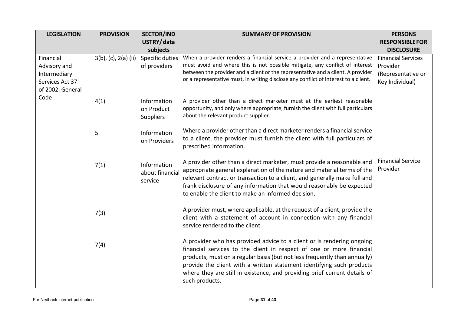| <b>LEGISLATION</b> | <b>PROVISION</b>     | <b>SECTOR/IND</b>           | <b>SUMMARY OF PROVISION</b>                                                                                                                                             | <b>PERSONS</b>                       |
|--------------------|----------------------|-----------------------------|-------------------------------------------------------------------------------------------------------------------------------------------------------------------------|--------------------------------------|
|                    |                      | USTRY/data                  |                                                                                                                                                                         | <b>RESPONSIBLE FOR</b>               |
|                    |                      | subjects                    |                                                                                                                                                                         | <b>DISCLOSURE</b>                    |
| Financial          | 3(b), (c), 2(a) (ii) | Specific duties             | When a provider renders a financial service a provider and a representative                                                                                             | <b>Financial Services</b>            |
| Advisory and       |                      | of providers                | must avoid and where this is not possible mitigate, any conflict of interest                                                                                            | Provider                             |
| Intermediary       |                      |                             | between the provider and a client or the representative and a client. A provider<br>or a representative must, in writing disclose any conflict of interest to a client. | (Representative or                   |
| Services Act 37    |                      |                             |                                                                                                                                                                         | Key Individual)                      |
| of 2002: General   |                      |                             |                                                                                                                                                                         |                                      |
| Code               | 4(1)                 | Information                 | A provider other than a direct marketer must at the earliest reasonable                                                                                                 |                                      |
|                    |                      | on Product                  | opportunity, and only where appropriate, furnish the client with full particulars                                                                                       |                                      |
|                    |                      | <b>Suppliers</b>            | about the relevant product supplier.                                                                                                                                    |                                      |
|                    |                      |                             | Where a provider other than a direct marketer renders a financial service                                                                                               |                                      |
|                    | 5                    | Information<br>on Providers | to a client, the provider must furnish the client with full particulars of                                                                                              |                                      |
|                    |                      |                             | prescribed information.                                                                                                                                                 |                                      |
|                    |                      |                             |                                                                                                                                                                         |                                      |
|                    | 7(1)                 | Information                 | A provider other than a direct marketer, must provide a reasonable and                                                                                                  | <b>Financial Service</b><br>Provider |
|                    |                      | about financia              | appropriate general explanation of the nature and material terms of the                                                                                                 |                                      |
|                    |                      | service                     | relevant contract or transaction to a client, and generally make full and<br>frank disclosure of any information that would reasonably be expected                      |                                      |
|                    |                      |                             | to enable the client to make an informed decision.                                                                                                                      |                                      |
|                    |                      |                             |                                                                                                                                                                         |                                      |
|                    | 7(3)                 |                             | A provider must, where applicable, at the request of a client, provide the                                                                                              |                                      |
|                    |                      |                             | client with a statement of account in connection with any financial                                                                                                     |                                      |
|                    |                      |                             | service rendered to the client.                                                                                                                                         |                                      |
|                    |                      |                             | A provider who has provided advice to a client or is rendering ongoing                                                                                                  |                                      |
|                    | 7(4)                 |                             | financial services to the client in respect of one or more financial                                                                                                    |                                      |
|                    |                      |                             | products, must on a regular basis (but not less frequently than annually)                                                                                               |                                      |
|                    |                      |                             | provide the client with a written statement identifying such products                                                                                                   |                                      |
|                    |                      |                             | where they are still in existence, and providing brief current details of                                                                                               |                                      |
|                    |                      |                             | such products.                                                                                                                                                          |                                      |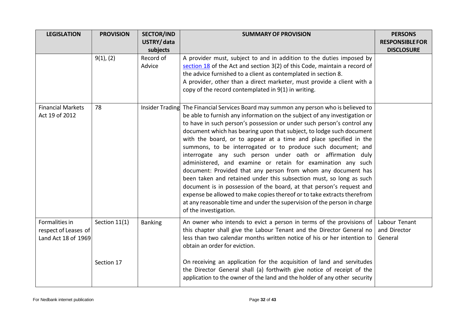| <b>LEGISLATION</b>       | <b>PROVISION</b> | <b>SECTOR/IND</b> | <b>SUMMARY OF PROVISION</b>                                                           | <b>PERSONS</b>         |
|--------------------------|------------------|-------------------|---------------------------------------------------------------------------------------|------------------------|
|                          |                  | USTRY/data        |                                                                                       | <b>RESPONSIBLE FOR</b> |
|                          |                  | subjects          |                                                                                       | <b>DISCLOSURE</b>      |
|                          | 9(1), (2)        | Record of         | A provider must, subject to and in addition to the duties imposed by                  |                        |
|                          |                  | Advice            | section 18 of the Act and section 3(2) of this Code, maintain a record of             |                        |
|                          |                  |                   | the advice furnished to a client as contemplated in section 8.                        |                        |
|                          |                  |                   | A provider, other than a direct marketer, must provide a client with a                |                        |
|                          |                  |                   | copy of the record contemplated in 9(1) in writing.                                   |                        |
| <b>Financial Markets</b> | 78               |                   | Insider Trading The Financial Services Board may summon any person who is believed to |                        |
| Act 19 of 2012           |                  |                   | be able to furnish any information on the subject of any investigation or             |                        |
|                          |                  |                   | to have in such person's possession or under such person's control any                |                        |
|                          |                  |                   | document which has bearing upon that subject, to lodge such document                  |                        |
|                          |                  |                   | with the board, or to appear at a time and place specified in the                     |                        |
|                          |                  |                   | summons, to be interrogated or to produce such document; and                          |                        |
|                          |                  |                   | interrogate any such person under oath or affirmation duly                            |                        |
|                          |                  |                   | administered, and examine or retain for examination any such                          |                        |
|                          |                  |                   | document: Provided that any person from whom any document has                         |                        |
|                          |                  |                   | been taken and retained under this subsection must, so long as such                   |                        |
|                          |                  |                   | document is in possession of the board, at that person's request and                  |                        |
|                          |                  |                   | expense be allowed to make copies thereof or to take extracts therefrom               |                        |
|                          |                  |                   | at any reasonable time and under the supervision of the person in charge              |                        |
|                          |                  |                   | of the investigation.                                                                 |                        |
| Formalities in           | Section 11(1)    | <b>Banking</b>    | An owner who intends to evict a person in terms of the provisions of                  | Labour Tenant          |
| respect of Leases of     |                  |                   | this chapter shall give the Labour Tenant and the Director General no                 | and Director           |
| Land Act 18 of 1969      |                  |                   | less than two calendar months written notice of his or her intention to               | General                |
|                          |                  |                   | obtain an order for eviction.                                                         |                        |
|                          | Section 17       |                   | On receiving an application for the acquisition of land and servitudes                |                        |
|                          |                  |                   | the Director General shall (a) forthwith give notice of receipt of the                |                        |
|                          |                  |                   | application to the owner of the land and the holder of any other security             |                        |
|                          |                  |                   |                                                                                       |                        |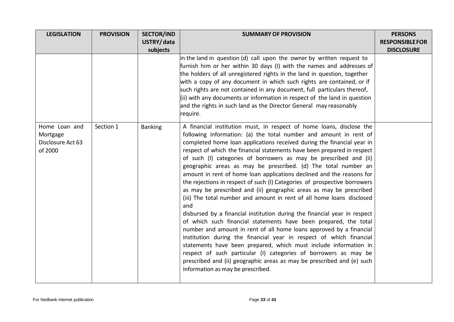| <b>LEGISLATION</b>                                        | <b>PROVISION</b> | <b>SECTOR/IND</b> | <b>SUMMARY OF PROVISION</b>                                                                                                                                                                                                                                                                                                                                                                                                                                                                                                                                                                                                                                                                                                                                                                                                                                                                                                                                                                                                                                                                                                                                                                                                                                                                              | <b>PERSONS</b>         |
|-----------------------------------------------------------|------------------|-------------------|----------------------------------------------------------------------------------------------------------------------------------------------------------------------------------------------------------------------------------------------------------------------------------------------------------------------------------------------------------------------------------------------------------------------------------------------------------------------------------------------------------------------------------------------------------------------------------------------------------------------------------------------------------------------------------------------------------------------------------------------------------------------------------------------------------------------------------------------------------------------------------------------------------------------------------------------------------------------------------------------------------------------------------------------------------------------------------------------------------------------------------------------------------------------------------------------------------------------------------------------------------------------------------------------------------|------------------------|
|                                                           |                  | USTRY/data        |                                                                                                                                                                                                                                                                                                                                                                                                                                                                                                                                                                                                                                                                                                                                                                                                                                                                                                                                                                                                                                                                                                                                                                                                                                                                                                          | <b>RESPONSIBLE FOR</b> |
|                                                           |                  | subjects          |                                                                                                                                                                                                                                                                                                                                                                                                                                                                                                                                                                                                                                                                                                                                                                                                                                                                                                                                                                                                                                                                                                                                                                                                                                                                                                          | <b>DISCLOSURE</b>      |
|                                                           |                  |                   | in the land in question (d) call upon the owner by written request to<br>furnish him or her within 30 days (I) with the names and addresses of<br>the holders of all unregistered rights in the land in question, together<br>with a copy of any document in which such rights are contained, or if<br>such rights are not contained in any document, full particulars thereof,<br>(ii) with any documents or information in respect of the land in question<br>and the rights in such land as the Director General may reasonably<br>require.                                                                                                                                                                                                                                                                                                                                                                                                                                                                                                                                                                                                                                                                                                                                                           |                        |
| Home Loan and<br>Mortgage<br>Disclosure Act 63<br>of 2000 | Section 1        | <b>Banking</b>    | A financial institution must, in respect of home loans, disclose the<br>following information: (a) the total number and amount in rent of<br>completed home loan applications received during the financial year in<br>respect of which the financial statements have been prepared in respect<br>of such (I) categories of borrowers as may be prescribed and (ii)<br>geographic areas as may be prescribed. (d) The total number an<br>amount in rent of home loan applications declined and the reasons for<br>the rejections in respect of such (I) Categories of prospective borrowers<br>as may be prescribed and (ii) geographic areas as may be prescribed<br>(iii) The total number and amount in rent of all home loans disclosed<br>and<br>disbursed by a financial institution during the financial year in respect<br>of which such financial statements have been prepared, the total<br>number and amount in rent of all home loans approved by a financial<br>institution during the financial year in respect of which financial<br>statements have been prepared, which must include information in<br>respect of such particular (I) categories of borrowers as may be<br>prescribed and (ii) geographic areas as may be prescribed and (e) such<br>information as may be prescribed. |                        |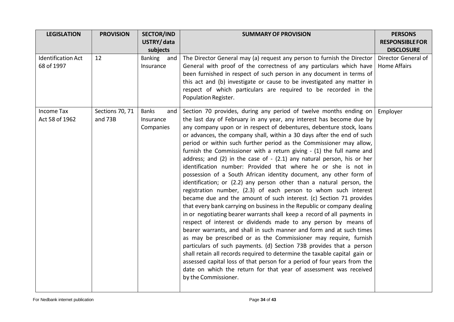| <b>LEGISLATION</b>        | <b>PROVISION</b> | <b>SECTOR/IND</b>     | <b>SUMMARY OF PROVISION</b>                                                                                                          | <b>PERSONS</b>         |
|---------------------------|------------------|-----------------------|--------------------------------------------------------------------------------------------------------------------------------------|------------------------|
|                           |                  | USTRY/data            |                                                                                                                                      | <b>RESPONSIBLE FOR</b> |
|                           |                  | subjects              |                                                                                                                                      | <b>DISCLOSURE</b>      |
| <b>Identification Act</b> | 12               | <b>Banking</b><br>and | The Director General may (a) request any person to furnish the Director                                                              | Director General of    |
| 68 of 1997                |                  | Insurance             | General with proof of the correctness of any particulars which have                                                                  | <b>Home Affairs</b>    |
|                           |                  |                       | been furnished in respect of such person in any document in terms of                                                                 |                        |
|                           |                  |                       | this act and (b) investigate or cause to be investigated any matter in                                                               |                        |
|                           |                  |                       | respect of which particulars are required to be recorded in the                                                                      |                        |
|                           |                  |                       | Population Register.                                                                                                                 |                        |
| <b>Income Tax</b>         | Sections 70, 71  | <b>Banks</b><br>and   | Section 70 provides, during any period of twelve months ending on                                                                    | Employer               |
| Act 58 of 1962            | and 73B          | Insurance             | the last day of February in any year, any interest has become due by                                                                 |                        |
|                           |                  | Companies             | any company upon or in respect of debentures, debenture stock, loans                                                                 |                        |
|                           |                  |                       | or advances, the company shall, within a 30 days after the end of such                                                               |                        |
|                           |                  |                       | period or within such further period as the Commissioner may allow,                                                                  |                        |
|                           |                  |                       | furnish the Commissioner with a return giving - (1) the full name and                                                                |                        |
|                           |                  |                       | address; and $(2)$ in the case of - $(2.1)$ any natural person, his or her                                                           |                        |
|                           |                  |                       | identification number: Provided that where he or she is not in<br>possession of a South African identity document, any other form of |                        |
|                           |                  |                       | identification; or (2.2) any person other than a natural person, the                                                                 |                        |
|                           |                  |                       | registration number, (2.3) of each person to whom such interest                                                                      |                        |
|                           |                  |                       | became due and the amount of such interest. (c) Section 71 provides                                                                  |                        |
|                           |                  |                       | that every bank carrying on business in the Republic or company dealing                                                              |                        |
|                           |                  |                       | in or negotiating bearer warrants shall keep a record of all payments in                                                             |                        |
|                           |                  |                       | respect of interest or dividends made to any person by means of                                                                      |                        |
|                           |                  |                       | bearer warrants, and shall in such manner and form and at such times                                                                 |                        |
|                           |                  |                       | as may be prescribed or as the Commissioner may require, furnish                                                                     |                        |
|                           |                  |                       | particulars of such payments. (d) Section 73B provides that a person                                                                 |                        |
|                           |                  |                       | shall retain all records required to determine the taxable capital gain or                                                           |                        |
|                           |                  |                       | assessed capital loss of that person for a period of four years from the                                                             |                        |
|                           |                  |                       | date on which the return for that year of assessment was received                                                                    |                        |
|                           |                  |                       | by the Commissioner.                                                                                                                 |                        |
|                           |                  |                       |                                                                                                                                      |                        |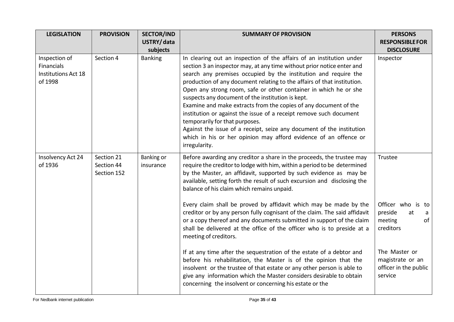| <b>LEGISLATION</b>                                                   | <b>PROVISION</b>                        | <b>SECTOR/IND</b>       | <b>SUMMARY OF PROVISION</b>                                                                                                                                                                                                                                                                                                                                                                                                                                                                                                                                                                                                                                                                                                                                                                                                                                                                           | <b>PERSONS</b>                                                                                                                                 |
|----------------------------------------------------------------------|-----------------------------------------|-------------------------|-------------------------------------------------------------------------------------------------------------------------------------------------------------------------------------------------------------------------------------------------------------------------------------------------------------------------------------------------------------------------------------------------------------------------------------------------------------------------------------------------------------------------------------------------------------------------------------------------------------------------------------------------------------------------------------------------------------------------------------------------------------------------------------------------------------------------------------------------------------------------------------------------------|------------------------------------------------------------------------------------------------------------------------------------------------|
|                                                                      |                                         | USTRY/data              |                                                                                                                                                                                                                                                                                                                                                                                                                                                                                                                                                                                                                                                                                                                                                                                                                                                                                                       | <b>RESPONSIBLE FOR</b>                                                                                                                         |
|                                                                      |                                         | subjects                |                                                                                                                                                                                                                                                                                                                                                                                                                                                                                                                                                                                                                                                                                                                                                                                                                                                                                                       | <b>DISCLOSURE</b>                                                                                                                              |
| Inspection of<br>Financials<br><b>Institutions Act 18</b><br>of 1998 | Section 4                               | <b>Banking</b>          | In clearing out an inspection of the affairs of an institution under<br>section 3 an inspector may, at any time without prior notice enter and<br>search any premises occupied by the institution and require the<br>production of any document relating to the affairs of that institution.<br>Open any strong room, safe or other container in which he or she<br>suspects any document of the institution is kept.<br>Examine and make extracts from the copies of any document of the<br>institution or against the issue of a receipt remove such document<br>temporarily for that purposes.<br>Against the issue of a receipt, seize any document of the institution<br>which in his or her opinion may afford evidence of an offence or<br>irregularity.                                                                                                                                       | Inspector                                                                                                                                      |
| Insolvency Act 24<br>of 1936                                         | Section 21<br>Section 44<br>Section 152 | Banking or<br>insurance | Before awarding any creditor a share in the proceeds, the trustee may<br>require the creditor to lodge with him, within a period to be determined<br>by the Master, an affidavit, supported by such evidence as may be<br>available, setting forth the result of such excursion and disclosing the<br>balance of his claim which remains unpaid.<br>Every claim shall be proved by affidavit which may be made by the<br>creditor or by any person fully cognisant of the claim. The said affidavit<br>or a copy thereof and any documents submitted in support of the claim<br>shall be delivered at the office of the officer who is to preside at a<br>meeting of creditors.<br>If at any time after the sequestration of the estate of a debtor and<br>before his rehabilitation, the Master is of the opinion that the<br>insolvent or the trustee of that estate or any other person is able to | Trustee<br>Officer who is to<br>preside<br>at<br>a<br>of<br>meeting<br>creditors<br>The Master or<br>magistrate or an<br>officer in the public |
|                                                                      |                                         |                         | give any information which the Master considers desirable to obtain<br>concerning the insolvent or concerning his estate or the                                                                                                                                                                                                                                                                                                                                                                                                                                                                                                                                                                                                                                                                                                                                                                       | service                                                                                                                                        |
|                                                                      |                                         |                         |                                                                                                                                                                                                                                                                                                                                                                                                                                                                                                                                                                                                                                                                                                                                                                                                                                                                                                       |                                                                                                                                                |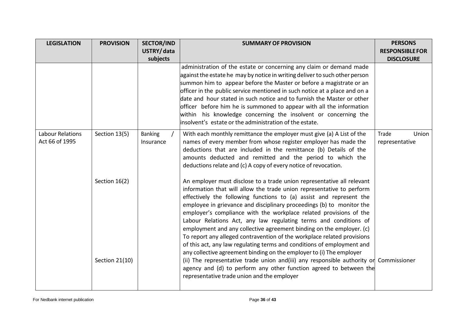| <b>LEGISLATION</b>                 | <b>PROVISION</b>                | <b>SECTOR/IND</b>           | <b>SUMMARY OF PROVISION</b>                                                                                                                                                                                                                                                                                                                                                                                                                                                                                                                                                                                                                                                                                                                                                                                                                                                                                                                                   | <b>PERSONS</b>                   |
|------------------------------------|---------------------------------|-----------------------------|---------------------------------------------------------------------------------------------------------------------------------------------------------------------------------------------------------------------------------------------------------------------------------------------------------------------------------------------------------------------------------------------------------------------------------------------------------------------------------------------------------------------------------------------------------------------------------------------------------------------------------------------------------------------------------------------------------------------------------------------------------------------------------------------------------------------------------------------------------------------------------------------------------------------------------------------------------------|----------------------------------|
|                                    |                                 | USTRY/data                  |                                                                                                                                                                                                                                                                                                                                                                                                                                                                                                                                                                                                                                                                                                                                                                                                                                                                                                                                                               | <b>RESPONSIBLE FOR</b>           |
|                                    |                                 | subjects                    |                                                                                                                                                                                                                                                                                                                                                                                                                                                                                                                                                                                                                                                                                                                                                                                                                                                                                                                                                               | <b>DISCLOSURE</b>                |
|                                    |                                 |                             | administration of the estate or concerning any claim or demand made<br>against the estate he may by notice in writing deliver to such other person<br>summon him to appear before the Master or before a magistrate or an<br>officer in the public service mentioned in such notice at a place and on a<br>date and hour stated in such notice and to furnish the Master or other<br>officer before him he is summoned to appear with all the information<br>within his knowledge concerning the insolvent or concerning the<br>insolvent's estate or the administration of the estate.                                                                                                                                                                                                                                                                                                                                                                       |                                  |
| Labour Relations<br>Act 66 of 1995 | Section 13(5)                   | <b>Banking</b><br>Insurance | With each monthly remittance the employer must give (a) A List of the<br>names of every member from whose register employer has made the<br>deductions that are included in the remittance (b) Details of the<br>amounts deducted and remitted and the period to which the<br>deductions relate and (c) A copy of every notice of revocation.                                                                                                                                                                                                                                                                                                                                                                                                                                                                                                                                                                                                                 | Trade<br>Union<br>representative |
|                                    | Section 16(2)<br>Section 21(10) |                             | An employer must disclose to a trade union representative all relevant<br>information that will allow the trade union representative to perform<br>effectively the following functions to (a) assist and represent the<br>employee in grievance and disciplinary proceedings (b) to monitor the<br>employer's compliance with the workplace related provisions of the<br>Labour Relations Act, any law regulating terms and conditions of<br>employment and any collective agreement binding on the employer. (c)<br>To report any alleged contravention of the workplace related provisions<br>of this act, any law regulating terms and conditions of employment and<br>any collective agreement binding on the employer to (i) The employer<br>(ii) The representative trade union and(iii) any responsible authority or Commissioner<br>agency and (d) to perform any other function agreed to between the<br>representative trade union and the employer |                                  |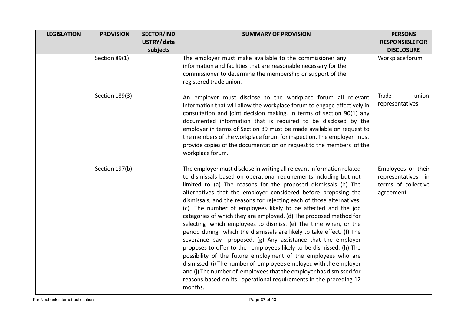| <b>LEGISLATION</b> | <b>PROVISION</b> | <b>SECTOR/IND</b> | <b>SUMMARY OF PROVISION</b>                                                                                                                                                                                                                                                                                                                                                                                                                                                                                                                                                                                                                                                                                                                                                                                                                                                                                                                                                                                                                                                    | <b>PERSONS</b>                                                               |
|--------------------|------------------|-------------------|--------------------------------------------------------------------------------------------------------------------------------------------------------------------------------------------------------------------------------------------------------------------------------------------------------------------------------------------------------------------------------------------------------------------------------------------------------------------------------------------------------------------------------------------------------------------------------------------------------------------------------------------------------------------------------------------------------------------------------------------------------------------------------------------------------------------------------------------------------------------------------------------------------------------------------------------------------------------------------------------------------------------------------------------------------------------------------|------------------------------------------------------------------------------|
|                    |                  | USTRY/data        |                                                                                                                                                                                                                                                                                                                                                                                                                                                                                                                                                                                                                                                                                                                                                                                                                                                                                                                                                                                                                                                                                | <b>RESPONSIBLE FOR</b>                                                       |
|                    | Section 89(1)    | subjects          | The employer must make available to the commissioner any                                                                                                                                                                                                                                                                                                                                                                                                                                                                                                                                                                                                                                                                                                                                                                                                                                                                                                                                                                                                                       | <b>DISCLOSURE</b><br>Workplace forum                                         |
|                    |                  |                   | information and facilities that are reasonable necessary for the<br>commissioner to determine the membership or support of the<br>registered trade union.                                                                                                                                                                                                                                                                                                                                                                                                                                                                                                                                                                                                                                                                                                                                                                                                                                                                                                                      |                                                                              |
|                    | Section 189(3)   |                   | An employer must disclose to the workplace forum all relevant<br>information that will allow the workplace forum to engage effectively in<br>consultation and joint decision making. In terms of section 90(1) any<br>documented information that is required to be disclosed by the<br>employer in terms of Section 89 must be made available on request to<br>the members of the workplace forum for inspection. The employer must<br>provide copies of the documentation on request to the members of the<br>workplace forum.                                                                                                                                                                                                                                                                                                                                                                                                                                                                                                                                               | Trade<br>union<br>representatives                                            |
|                    | Section 197(b)   |                   | The employer must disclose in writing all relevant information related<br>to dismissals based on operational requirements including but not<br>limited to (a) The reasons for the proposed dismissals (b) The<br>alternatives that the employer considered before proposing the<br>dismissals, and the reasons for rejecting each of those alternatives.<br>(c) The number of employees likely to be affected and the job<br>categories of which they are employed. (d) The proposed method for<br>selecting which employees to dismiss. (e) The time when, or the<br>period during which the dismissals are likely to take effect. (f) The<br>severance pay proposed. (g) Any assistance that the employer<br>proposes to offer to the employees likely to be dismissed. (h) The<br>possibility of the future employment of the employees who are<br>dismissed. (i) The number of employees employed with the employer<br>and (j) The number of employees that the employer has dismissed for<br>reasons based on its operational requirements in the preceding 12<br>months. | Employees or their<br>representatives in<br>terms of collective<br>agreement |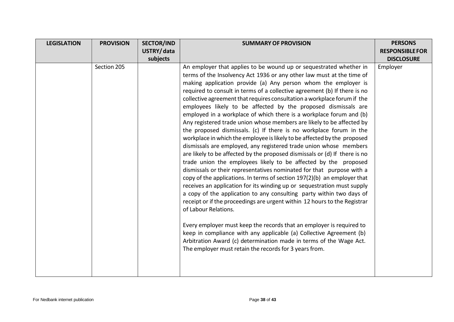| <b>LEGISLATION</b> | <b>PROVISION</b> | <b>SECTOR/IND</b> | <b>SUMMARY OF PROVISION</b>                                                                                                                                                                                                                                                                                                                                                                                                                                                                                                                                                                                                                                                                                                                                                                                                                                                                                                                                                                                                                                                                                                                                                                                                                                                                                                                                                                                                                                                                                                                                                                                                                                  | <b>PERSONS</b>         |
|--------------------|------------------|-------------------|--------------------------------------------------------------------------------------------------------------------------------------------------------------------------------------------------------------------------------------------------------------------------------------------------------------------------------------------------------------------------------------------------------------------------------------------------------------------------------------------------------------------------------------------------------------------------------------------------------------------------------------------------------------------------------------------------------------------------------------------------------------------------------------------------------------------------------------------------------------------------------------------------------------------------------------------------------------------------------------------------------------------------------------------------------------------------------------------------------------------------------------------------------------------------------------------------------------------------------------------------------------------------------------------------------------------------------------------------------------------------------------------------------------------------------------------------------------------------------------------------------------------------------------------------------------------------------------------------------------------------------------------------------------|------------------------|
|                    |                  | USTRY/data        |                                                                                                                                                                                                                                                                                                                                                                                                                                                                                                                                                                                                                                                                                                                                                                                                                                                                                                                                                                                                                                                                                                                                                                                                                                                                                                                                                                                                                                                                                                                                                                                                                                                              | <b>RESPONSIBLE FOR</b> |
|                    |                  | subjects          |                                                                                                                                                                                                                                                                                                                                                                                                                                                                                                                                                                                                                                                                                                                                                                                                                                                                                                                                                                                                                                                                                                                                                                                                                                                                                                                                                                                                                                                                                                                                                                                                                                                              | <b>DISCLOSURE</b>      |
|                    | Section 205      |                   | An employer that applies to be wound up or sequestrated whether in<br>terms of the Insolvency Act 1936 or any other law must at the time of<br>making application provide (a) Any person whom the employer is<br>required to consult in terms of a collective agreement (b) If there is no<br>collective agreement that requires consultation a workplace forum if the<br>employees likely to be affected by the proposed dismissals are<br>employed in a workplace of which there is a workplace forum and (b)<br>Any registered trade union whose members are likely to be affected by<br>the proposed dismissals. (c) If there is no workplace forum in the<br>workplace in which the employee is likely to be affected by the proposed<br>dismissals are employed, any registered trade union whose members<br>are likely to be affected by the proposed dismissals or (d) If there is no<br>trade union the employees likely to be affected by the proposed<br>dismissals or their representatives nominated for that purpose with a<br>copy of the applications. In terms of section 197(2)(b) an employer that<br>receives an application for its winding up or sequestration must supply<br>a copy of the application to any consulting party within two days of<br>receipt or if the proceedings are urgent within 12 hours to the Registrar<br>of Labour Relations.<br>Every employer must keep the records that an employer is required to<br>keep in compliance with any applicable (a) Collective Agreement (b)<br>Arbitration Award (c) determination made in terms of the Wage Act.<br>The employer must retain the records for 3 years from. | Employer               |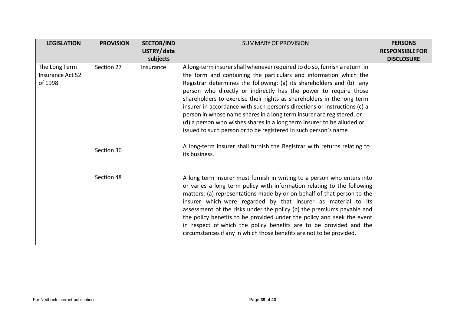| <b>LEGISLATION</b> | <b>PROVISION</b> | <b>SECTOR/IND</b><br>USTRY/data | <b>SUMMARY OF PROVISION</b>                                                                                                                        | <b>PERSONS</b><br><b>RESPONSIBLE FOR</b> |
|--------------------|------------------|---------------------------------|----------------------------------------------------------------------------------------------------------------------------------------------------|------------------------------------------|
|                    |                  | subjects                        |                                                                                                                                                    | <b>DISCLOSURE</b>                        |
| The Long Term      | Section 27       | Insurance                       | A long-term insurer shall whenever required to do so, furnish a return in                                                                          |                                          |
| Insurance Act 52   |                  |                                 | the form and containing the particulars and information which the                                                                                  |                                          |
| of 1998            |                  |                                 | Registrar determines the following: (a) its shareholders and (b) any                                                                               |                                          |
|                    |                  |                                 | person who directly or indirectly has the power to require those                                                                                   |                                          |
|                    |                  |                                 | shareholders to exercise their rights as shareholders in the long term                                                                             |                                          |
|                    |                  |                                 | insurer in accordance with such person's directions or instructions (c) a<br>person in whose name shares in a long term insurer are registered, or |                                          |
|                    |                  |                                 | (d) a person who wishes shares in a long term insurer to be alluded or                                                                             |                                          |
|                    |                  |                                 | issued to such person or to be registered in such person's name                                                                                    |                                          |
|                    |                  |                                 |                                                                                                                                                    |                                          |
|                    | Section 36       |                                 | A long-term insurer shall furnish the Registrar with returns relating to<br>its business.                                                          |                                          |
|                    |                  |                                 |                                                                                                                                                    |                                          |
|                    |                  |                                 |                                                                                                                                                    |                                          |
|                    | Section 48       |                                 | A long term insurer must furnish in writing to a person who enters into                                                                            |                                          |
|                    |                  |                                 | or varies a long term policy with information relating to the following                                                                            |                                          |
|                    |                  |                                 | matters: (a) representations made by or on behalf of that person to the                                                                            |                                          |
|                    |                  |                                 | insurer which were regarded by that insurer as material to its                                                                                     |                                          |
|                    |                  |                                 | assessment of the risks under the policy (b) the premiums payable and                                                                              |                                          |
|                    |                  |                                 | the policy benefits to be provided under the policy and seek the event                                                                             |                                          |
|                    |                  |                                 | in respect of which the policy benefits are to be provided and the<br>circumstances if any in which those benefits are not to be provided.         |                                          |
|                    |                  |                                 |                                                                                                                                                    |                                          |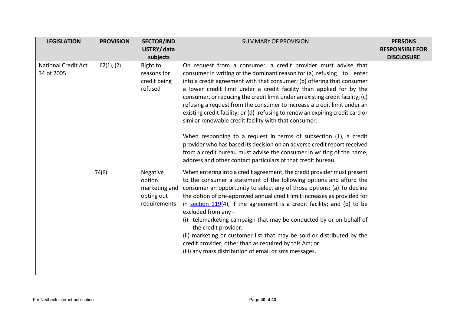| <b>LEGISLATION</b>                       | <b>PROVISION</b> | <b>SECTOR/IND</b>                                                 | <b>SUMMARY OF PROVISION</b>                                                                                                                                                                                                                                                                                                                                                                                                                                                                                                                                                                                                                                                                                                                                                                                                                                                               | <b>PERSONS</b>         |
|------------------------------------------|------------------|-------------------------------------------------------------------|-------------------------------------------------------------------------------------------------------------------------------------------------------------------------------------------------------------------------------------------------------------------------------------------------------------------------------------------------------------------------------------------------------------------------------------------------------------------------------------------------------------------------------------------------------------------------------------------------------------------------------------------------------------------------------------------------------------------------------------------------------------------------------------------------------------------------------------------------------------------------------------------|------------------------|
|                                          |                  | USTRY/data                                                        |                                                                                                                                                                                                                                                                                                                                                                                                                                                                                                                                                                                                                                                                                                                                                                                                                                                                                           | <b>RESPONSIBLE FOR</b> |
|                                          |                  | subjects                                                          |                                                                                                                                                                                                                                                                                                                                                                                                                                                                                                                                                                                                                                                                                                                                                                                                                                                                                           | <b>DISCLOSURE</b>      |
| <b>National Credit Act</b><br>34 of 2005 | 62(1), (2)       | Right to<br>reasons for<br>credit being<br>refused                | On request from a consumer, a credit provider must advise that<br>consumer in writing of the dominant reason for (a) refusing to enter<br>into a credit agreement with that consumer; (b) offering that consumer<br>a lower credit limit under a credit facility than applied for by the<br>consumer, or reducing the credit limit under an existing credit facility; (c)<br>refusing a request from the consumer to increase a credit limit under an<br>existing credit facility; or (d) refusing to renew an expiring credit card or<br>similar renewable credit facility with that consumer.<br>When responding to a request in terms of subsection (1), a credit<br>provider who has based its decision on an adverse credit report received<br>from a credit bureau must advise the consumer in writing of the name,<br>address and other contact particulars of that credit bureau. |                        |
|                                          | 74(6)            | Negative<br>option<br>marketing and<br>opting out<br>requirements | When entering into a credit agreement, the credit provider must present<br>to the consumer a statement of the following options and afford the<br>consumer an opportunity to select any of those options: (a) To decline<br>the option of pre-approved annual credit limit increases as provided for<br>in section $119(4)$ , if the agreement is a credit facility; and (b) to be<br>excluded from any -<br>(i) telemarketing campaign that may be conducted by or on behalf of<br>the credit provider;<br>(ii) marketing or customer list that may be sold or distributed by the<br>credit provider, other than as required by this Act; or<br>(iii) any mass distribution of email or sms messages.                                                                                                                                                                                    |                        |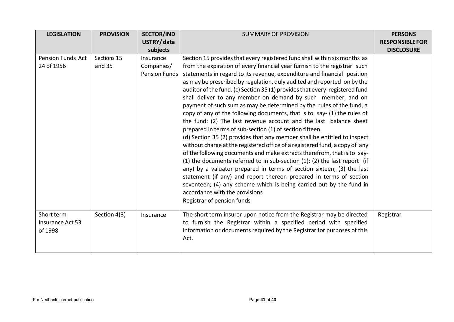| <b>LEGISLATION</b>                        | <b>PROVISION</b>      | <b>SECTOR/IND</b><br>USTRY/data                             | <b>SUMMARY OF PROVISION</b>                                                                                                                                                                                                                                                                                                                                                                                                                                                                                                                                                                                                                                                                                                                                                                                                                                                                                                                                                                                                                                                                                                                                                                                                                                                                                                                                    | <b>PERSONS</b><br><b>RESPONSIBLE FOR</b> |
|-------------------------------------------|-----------------------|-------------------------------------------------------------|----------------------------------------------------------------------------------------------------------------------------------------------------------------------------------------------------------------------------------------------------------------------------------------------------------------------------------------------------------------------------------------------------------------------------------------------------------------------------------------------------------------------------------------------------------------------------------------------------------------------------------------------------------------------------------------------------------------------------------------------------------------------------------------------------------------------------------------------------------------------------------------------------------------------------------------------------------------------------------------------------------------------------------------------------------------------------------------------------------------------------------------------------------------------------------------------------------------------------------------------------------------------------------------------------------------------------------------------------------------|------------------------------------------|
| <b>Pension Funds Act</b><br>24 of 1956    | Sections 15<br>and 35 | subjects<br>Insurance<br>Companies/<br><b>Pension Funds</b> | Section 15 provides that every registered fund shall within six months as<br>from the expiration of every financial year furnish to the registrar such<br>statements in regard to its revenue, expenditure and financial position<br>as may be prescribed by regulation, duly audited and reported on by the<br>auditor of the fund. (c) Section 35 (1) provides that every registered fund<br>shall deliver to any member on demand by such member, and on<br>payment of such sum as may be determined by the rules of the fund, a<br>copy of any of the following documents, that is to say- (1) the rules of<br>the fund; (2) The last revenue account and the last balance sheet<br>prepared in terms of sub-section (1) of section fifteen.<br>(d) Section 35 (2) provides that any member shall be entitled to inspect<br>without charge at the registered office of a registered fund, a copy of any<br>of the following documents and make extracts therefrom, that is to say-<br>(1) the documents referred to in sub-section $(1)$ ; $(2)$ the last report (if<br>any) by a valuator prepared in terms of section sixteen; (3) the last<br>statement (if any) and report thereon prepared in terms of section<br>seventeen; (4) any scheme which is being carried out by the fund in<br>accordance with the provisions<br>Registrar of pension funds | <b>DISCLOSURE</b>                        |
| Short term<br>Insurance Act 53<br>of 1998 | Section 4(3)          | Insurance                                                   | The short term insurer upon notice from the Registrar may be directed<br>to furnish the Registrar within a specified period with specified<br>information or documents required by the Registrar for purposes of this<br>Act.                                                                                                                                                                                                                                                                                                                                                                                                                                                                                                                                                                                                                                                                                                                                                                                                                                                                                                                                                                                                                                                                                                                                  | Registrar                                |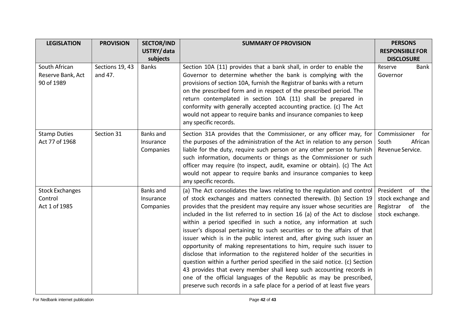| <b>LEGISLATION</b>     | <b>PROVISION</b> | <b>SECTOR/IND</b> | <b>SUMMARY OF PROVISION</b>                                                                                                                     | <b>PERSONS</b>         |
|------------------------|------------------|-------------------|-------------------------------------------------------------------------------------------------------------------------------------------------|------------------------|
|                        |                  | USTRY/data        |                                                                                                                                                 | <b>RESPONSIBLE FOR</b> |
|                        |                  | subjects          |                                                                                                                                                 | <b>DISCLOSURE</b>      |
| South African          | Sections 19, 43  | <b>Banks</b>      | Section 10A (11) provides that a bank shall, in order to enable the                                                                             | <b>Bank</b><br>Reserve |
| Reserve Bank, Act      | and 47.          |                   | Governor to determine whether the bank is complying with the                                                                                    | Governor               |
| 90 of 1989             |                  |                   | provisions of section 10A, furnish the Registrar of banks with a return                                                                         |                        |
|                        |                  |                   | on the prescribed form and in respect of the prescribed period. The                                                                             |                        |
|                        |                  |                   | return contemplated in section 10A (11) shall be prepared in                                                                                    |                        |
|                        |                  |                   | conformity with generally accepted accounting practice. (c) The Act                                                                             |                        |
|                        |                  |                   | would not appear to require banks and insurance companies to keep                                                                               |                        |
|                        |                  |                   | any specific records.                                                                                                                           |                        |
| <b>Stamp Duties</b>    | Section 31       | <b>Banks and</b>  | Section 31A provides that the Commissioner, or any officer may, for                                                                             | Commissioner<br>for    |
| Act 77 of 1968         |                  | Insurance         | the purposes of the administration of the Act in relation to any person                                                                         | African<br>South       |
|                        |                  | Companies         | liable for the duty, require such person or any other person to furnish                                                                         | Revenue Service.       |
|                        |                  |                   | such information, documents or things as the Commissioner or such                                                                               |                        |
|                        |                  |                   | officer may require (to inspect, audit, examine or obtain). (c) The Act                                                                         |                        |
|                        |                  |                   | would not appear to require banks and insurance companies to keep                                                                               |                        |
|                        |                  |                   | any specific records.                                                                                                                           |                        |
| <b>Stock Exchanges</b> |                  | <b>Banks</b> and  | (a) The Act consolidates the laws relating to the regulation and control                                                                        | President of the       |
| Control                |                  | Insurance         | of stock exchanges and matters connected therewith. (b) Section 19                                                                              | stock exchange and     |
| Act 1 of 1985          |                  | Companies         | provides that the president may require any issuer whose securities are                                                                         | Registrar of the       |
|                        |                  |                   | included in the list referred to in section 16 (a) of the Act to disclose                                                                       | stock exchange.        |
|                        |                  |                   | within a period specified in such a notice, any information at such                                                                             |                        |
|                        |                  |                   | issuer's disposal pertaining to such securities or to the affairs of that                                                                       |                        |
|                        |                  |                   | issuer which is in the public interest and, after giving such issuer an<br>opportunity of making representations to him, require such issuer to |                        |
|                        |                  |                   | disclose that information to the registered holder of the securities in                                                                         |                        |
|                        |                  |                   | question within a further period specified in the said notice. (c) Section                                                                      |                        |
|                        |                  |                   | 43 provides that every member shall keep such accounting records in                                                                             |                        |
|                        |                  |                   | one of the official languages of the Republic as may be prescribed,                                                                             |                        |
|                        |                  |                   | preserve such records in a safe place for a period of at least five years                                                                       |                        |
|                        |                  |                   |                                                                                                                                                 |                        |